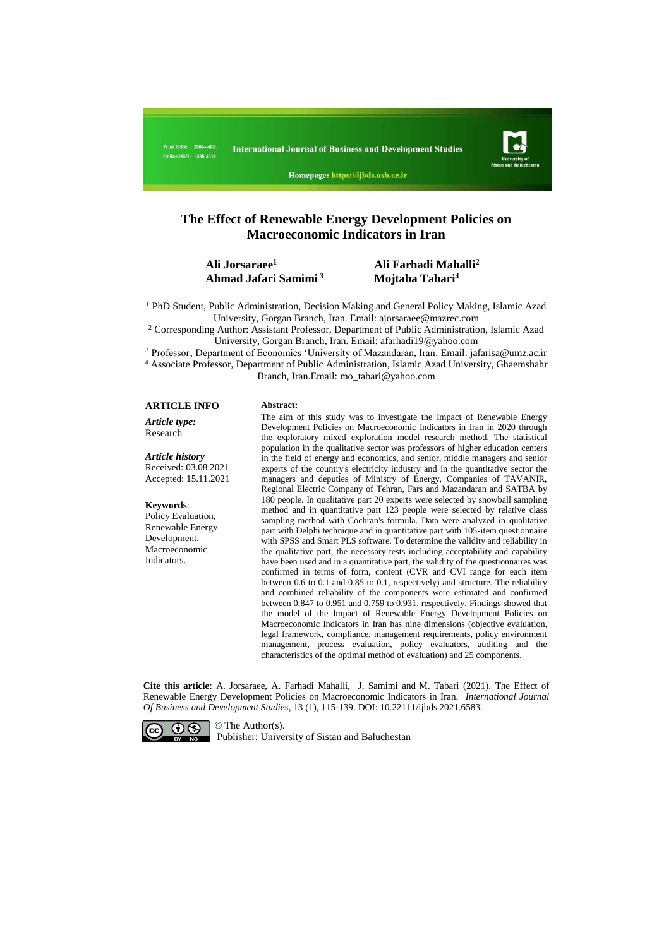

Homepage: https://ijbds.usb.ac.ir

# **The Effect of Renewable Energy Development Policies on Macroeconomic Indicators in Iran**

#### **Ali Jorsaraee<sup>1</sup> Ali Farhadi Mahalli<sup>2</sup> Ahmad Jafari Samimi <sup>3</sup> Mojtaba Tabari<sup>4</sup>**

<sup>1</sup> PhD Student, Public Administration, Decision Making and General Policy Making, Islamic Azad University, Gorgan Branch, Iran. Email: ajorsaraee@mazrec.com

<sup>2</sup> Corresponding Author: Assistant Professor, Department of Public Administration, Islamic Azad University, Gorgan Branch, Iran. Email: afarhadi19@yahoo.com

<sup>3</sup> Professor, Department of Economics 'University of Mazandaran, Iran. Email: jafarisa@umz.ac.ir

<sup>4</sup> Associate Professor, Department of Public Administration, Islamic Azad University, Ghaemshahr Branch, Iran.Email: mo\_tabari@yahoo.com

#### **ARTICLE INFO Abstract:**

*Article type:* Research

*Article history* Received: 03.08.2021 Accepted: 15.11.2021

#### **Keywords**:

Policy Evaluation, Renewable Energy Development, Macroeconomic **Indicators** 

The aim of this study was to investigate the Impact of Renewable Energy Development Policies on Macroeconomic Indicators in Iran in 2020 through the exploratory mixed exploration model research method. The statistical population in the qualitative sector was professors of higher education centers in the field of energy and economics, and senior, middle managers and senior experts of the country's electricity industry and in the quantitative sector the managers and deputies of Ministry of Energy, Companies of TAVANIR, Regional Electric Company of Tehran, Fars and Mazandaran and SATBA by 180 people. In qualitative part 20 experts were selected by snowball sampling method and in quantitative part 123 people were selected by relative class sampling method with Cochran's formula. Data were analyzed in qualitative part with Delphi technique and in quantitative part with 105-item questionnaire with SPSS and Smart PLS software. To determine the validity and reliability in the qualitative part, the necessary tests including acceptability and capability have been used and in a quantitative part, the validity of the questionnaires was confirmed in terms of form, content (CVR and CVI range for each item between 0.6 to 0.1 and 0.85 to 0.1, respectively) and structure. The reliability and combined reliability of the components were estimated and confirmed between 0.847 to 0.951 and 0.759 to 0.931, respectively. Findings showed that the model of the Impact of Renewable Energy Development Policies on Macroeconomic Indicators in Iran has nine dimensions (objective evaluation, legal framework, compliance, management requirements, policy environment management, process evaluation, policy evaluators, auditing and the characteristics of the optimal method of evaluation) and 25 components.

**Cite this article**: A. Jorsaraee, A. Farhadi Mahalli, J. Samimi and M. Tabari (2021). The Effect of Renewable Energy Development Policies on Macroeconomic Indicators in Iran. *International Journal Of Business and Development Studies*, 13 (1), 115-139. DOI: 10.22111/ijbds.2021.6583.



Publisher: University of Sistan and Baluchestan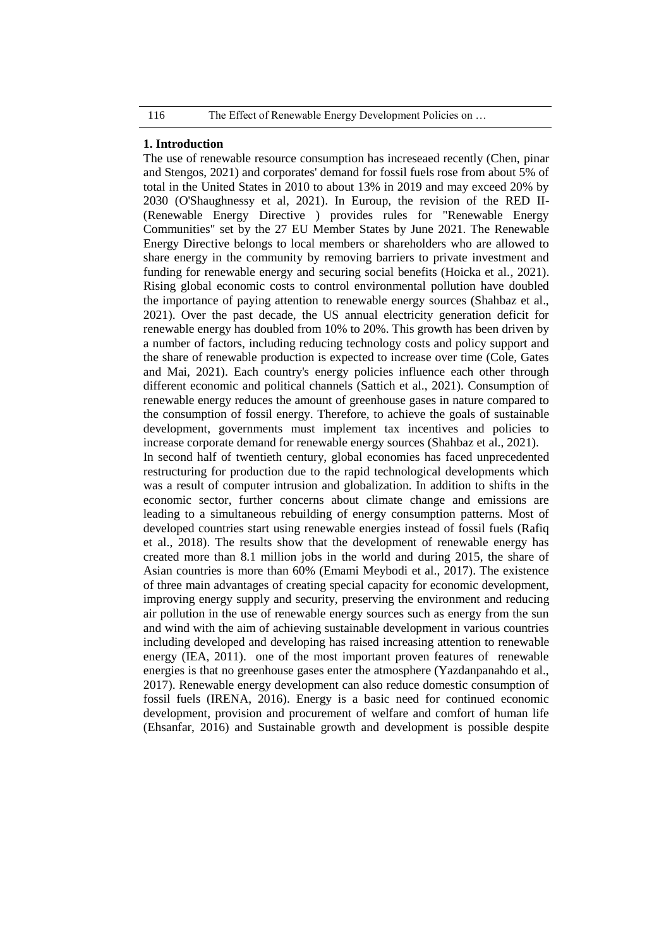### **1. Introduction**

The use of renewable resource consumption has increseaed recently (Chen, pinar and Stengos, 2021) and corporates' demand for fossil fuels rose from about 5% of total in the United States in 2010 to about 13% in 2019 and may exceed 20% by 2030 (O'Shaughnessy et al, 2021). In Euroup, the revision of the RED II- (Renewable Energy Directive ) provides rules for "Renewable Energy Communities" set by the 27 EU Member States by June 2021. The Renewable Energy Directive belongs to local members or shareholders who are allowed to share energy in the community by removing barriers to private investment and funding for renewable energy and securing social benefits (Hoicka et al., 2021). Rising global economic costs to control environmental pollution have doubled the importance of paying attention to renewable energy sources (Shahbaz et al., 2021). Over the past decade, the US annual electricity generation deficit for renewable energy has doubled from 10% to 20%. This growth has been driven by a number of factors, including reducing technology costs and policy support and the share of renewable production is expected to increase over time (Cole, Gates and Mai, 2021). Each country's energy policies influence each other through different economic and political channels (Sattich et al., 2021). Consumption of renewable energy reduces the amount of greenhouse gases in nature compared to the consumption of fossil energy. Therefore, to achieve the goals of sustainable development, governments must implement tax incentives and policies to increase corporate demand for renewable energy sources (Shahbaz et al., 2021). In second half of twentieth century, global economies has faced unprecedented restructuring for production due to the rapid technological developments which was a result of computer intrusion and globalization. In addition to shifts in the economic sector, further concerns about climate change and emissions are leading to a simultaneous rebuilding of energy consumption patterns. Most of developed countries start using renewable energies instead of fossil fuels (Rafiq et al., 2018). The results show that the development of renewable energy has created more than 8.1 million jobs in the world and during 2015, the share of Asian countries is more than 60% (Emami Meybodi et al., 2017). The existence of three main advantages of creating special capacity for economic development, improving energy supply and security, preserving the environment and reducing air pollution in the use of renewable energy sources such as energy from the sun and wind with the aim of achieving sustainable development in various countries including developed and developing has raised increasing attention to renewable energy (IEA, 2011). one of the most important proven features of renewable energies is that no greenhouse gases enter the atmosphere (Yazdanpanahdo et al., 2017). Renewable energy development can also reduce domestic consumption of fossil fuels (IRENA, 2016). Energy is a basic need for continued economic development, provision and procurement of welfare and comfort of human life (Ehsanfar, 2016) and Sustainable growth and development is possible despite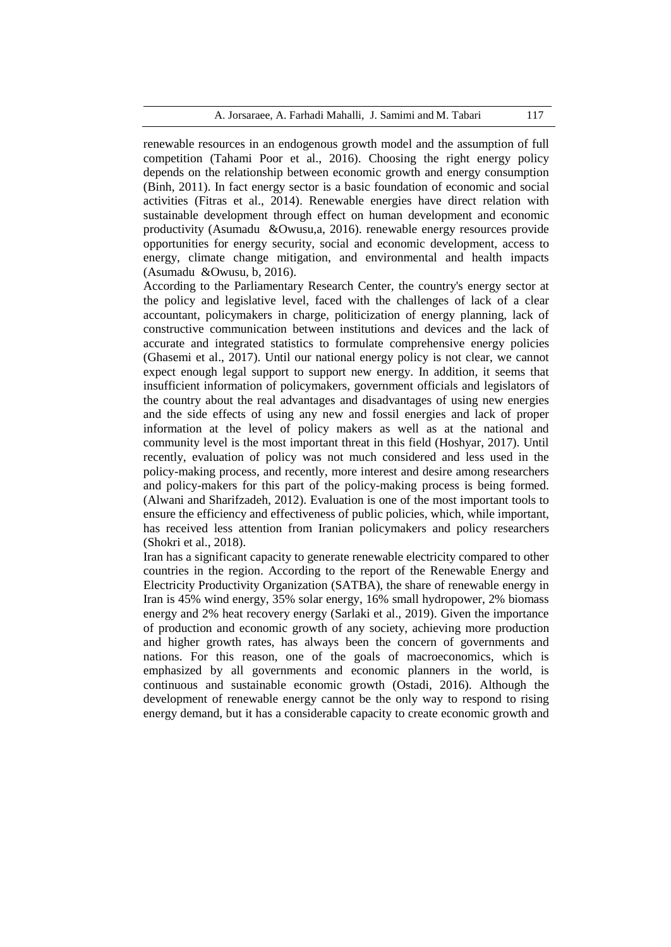renewable resources in an endogenous growth model and the assumption of full competition (Tahami Poor et al., 2016). Choosing the right energy policy depends on the relationship between economic growth and energy consumption (Binh, 2011). In fact energy sector is a basic foundation of economic and social activities (Fitras et al., 2014). Renewable energies have direct relation with sustainable development through effect on human development and economic productivity (Asumadu &Owusu,a, 2016). renewable energy resources provide opportunities for energy security, social and economic development, access to energy, climate change mitigation, and environmental and health impacts (Asumadu &Owusu, b, 2016).

According to the Parliamentary Research Center, the country's energy sector at the policy and legislative level, faced with the challenges of lack of a clear accountant, policymakers in charge, politicization of energy planning, lack of constructive communication between institutions and devices and the lack of accurate and integrated statistics to formulate comprehensive energy policies (Ghasemi et al., 2017). Until our national energy policy is not clear, we cannot expect enough legal support to support new energy. In addition, it seems that insufficient information of policymakers, government officials and legislators of the country about the real advantages and disadvantages of using new energies and the side effects of using any new and fossil energies and lack of proper information at the level of policy makers as well as at the national and community level is the most important threat in this field (Hoshyar, 2017). Until recently, evaluation of policy was not much considered and less used in the policy-making process, and recently, more interest and desire among researchers and policy-makers for this part of the policy-making process is being formed. (Alwani and Sharifzadeh, 2012). Evaluation is one of the most important tools to ensure the efficiency and effectiveness of public policies, which, while important, has received less attention from Iranian policymakers and policy researchers (Shokri et al., 2018).

Iran has a significant capacity to generate renewable electricity compared to other countries in the region. According to the report of the Renewable Energy and Electricity Productivity Organization (SATBA), the share of renewable energy in Iran is 45% wind energy, 35% solar energy, 16% small hydropower, 2% biomass energy and 2% heat recovery energy (Sarlaki et al., 2019). Given the importance of production and economic growth of any society, achieving more production and higher growth rates, has always been the concern of governments and nations. For this reason, one of the goals of macroeconomics, which is emphasized by all governments and economic planners in the world, is continuous and sustainable economic growth (Ostadi, 2016). Although the development of renewable energy cannot be the only way to respond to rising energy demand, but it has a considerable capacity to create economic growth and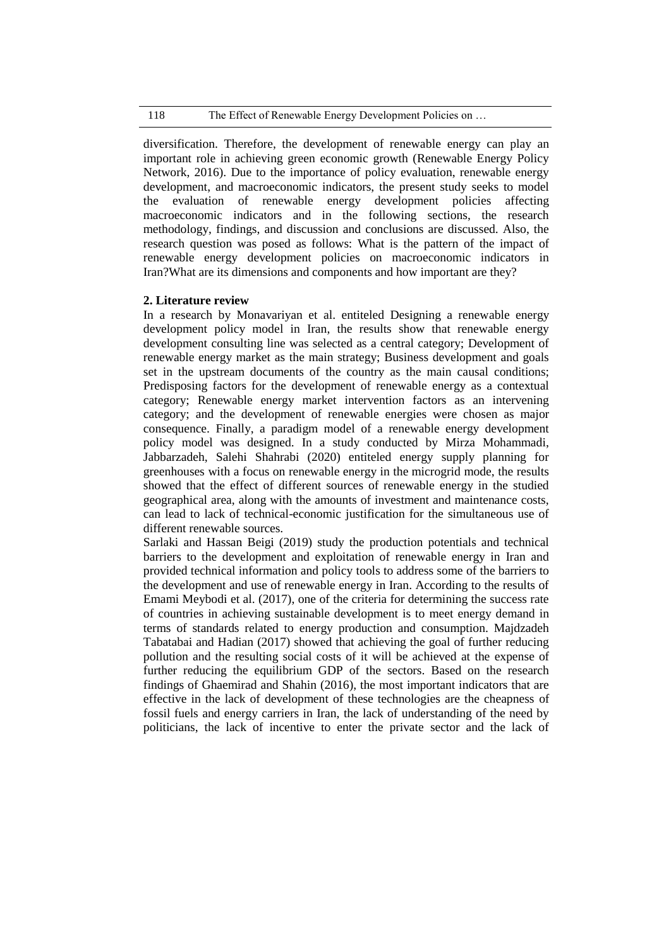# 118 The Effect of Renewable Energy Development Policies on ...

diversification. Therefore, the development of renewable energy can play an important role in achieving green economic growth (Renewable Energy Policy Network, 2016). Due to the importance of policy evaluation, renewable energy development, and macroeconomic indicators, the present study seeks to model the evaluation of renewable energy development policies affecting macroeconomic indicators and in the following sections, the research methodology, findings, and discussion and conclusions are discussed. Also, the research question was posed as follows: What is the pattern of the impact of renewable energy development policies on macroeconomic indicators in Iran?What are its dimensions and components and how important are they?

# **2. Literature review**

In a research by Monavariyan et al. entiteled Designing a renewable energy development policy model in Iran, the results show that renewable energy development consulting line was selected as a central category; Development of renewable energy market as the main strategy; Business development and goals set in the upstream documents of the country as the main causal conditions; Predisposing factors for the development of renewable energy as a contextual category; Renewable energy market intervention factors as an intervening category; and the development of renewable energies were chosen as major consequence. Finally, a paradigm model of a renewable energy development policy model was designed. In a study conducted by Mirza Mohammadi, Jabbarzadeh, Salehi Shahrabi (2020) entiteled energy supply planning for greenhouses with a focus on renewable energy in the microgrid mode, the results showed that the effect of different sources of renewable energy in the studied geographical area, along with the amounts of investment and maintenance costs, can lead to lack of technical-economic justification for the simultaneous use of different renewable sources.

Sarlaki and Hassan Beigi (2019) study the production potentials and technical barriers to the development and exploitation of renewable energy in Iran and provided technical information and policy tools to address some of the barriers to the development and use of renewable energy in Iran. According to the results of Emami Meybodi et al. (2017), one of the criteria for determining the success rate of countries in achieving sustainable development is to meet energy demand in terms of standards related to energy production and consumption. Majdzadeh Tabatabai and Hadian (2017) showed that achieving the goal of further reducing pollution and the resulting social costs of it will be achieved at the expense of further reducing the equilibrium GDP of the sectors. Based on the research findings of Ghaemirad and Shahin (2016), the most important indicators that are effective in the lack of development of these technologies are the cheapness of fossil fuels and energy carriers in Iran, the lack of understanding of the need by politicians, the lack of incentive to enter the private sector and the lack of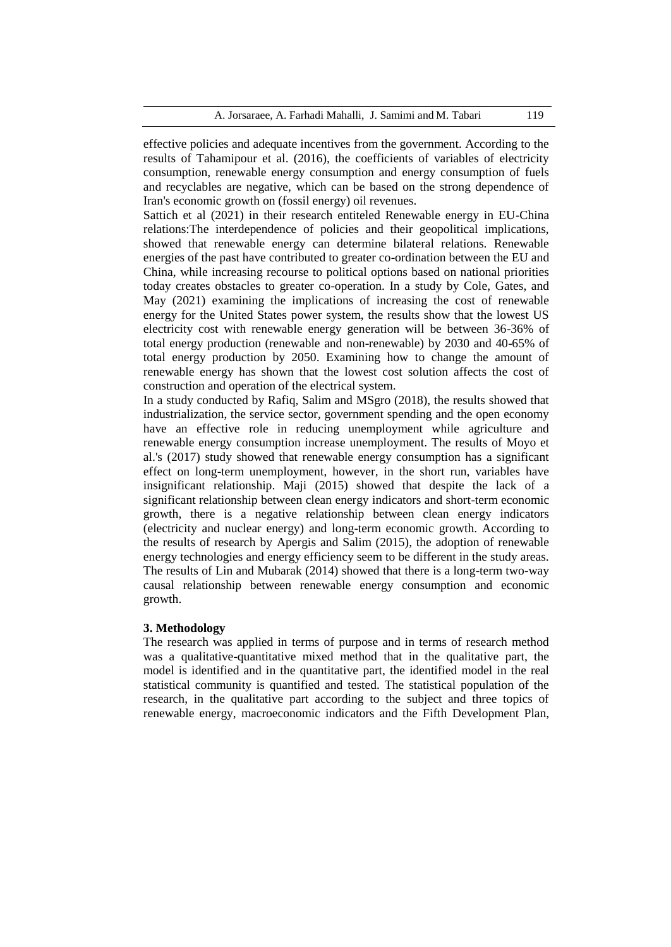effective policies and adequate incentives from the government. According to the results of Tahamipour et al. (2016), the coefficients of variables of electricity consumption, renewable energy consumption and energy consumption of fuels and recyclables are negative, which can be based on the strong dependence of Iran's economic growth on (fossil energy) oil revenues.

Sattich et al (2021) in their research entiteled Renewable energy in EU-China relations:The interdependence of policies and their geopolitical implications, showed that renewable energy can determine bilateral relations. Renewable energies of the past have contributed to greater co-ordination between the EU and China, while increasing recourse to political options based on national priorities today creates obstacles to greater co-operation. In a study by Cole, Gates, and May (2021) examining the implications of increasing the cost of renewable energy for the United States power system, the results show that the lowest US electricity cost with renewable energy generation will be between 36-36% of total energy production (renewable and non-renewable) by 2030 and 40-65% of total energy production by 2050. Examining how to change the amount of renewable energy has shown that the lowest cost solution affects the cost of construction and operation of the electrical system.

In a study conducted by Rafiq, Salim and MSgro (2018), the results showed that industrialization, the service sector, government spending and the open economy have an effective role in reducing unemployment while agriculture and renewable energy consumption increase unemployment. The results of Moyo et al.'s (2017) study showed that renewable energy consumption has a significant effect on long-term unemployment, however, in the short run, variables have insignificant relationship. Maji (2015) showed that despite the lack of a significant relationship between clean energy indicators and short-term economic growth, there is a negative relationship between clean energy indicators (electricity and nuclear energy) and long-term economic growth. According to the results of research by Apergis and Salim (2015), the adoption of renewable energy technologies and energy efficiency seem to be different in the study areas. The results of Lin and Mubarak (2014) showed that there is a long-term two-way causal relationship between renewable energy consumption and economic growth.

## **3. Methodology**

The research was applied in terms of purpose and in terms of research method was a qualitative-quantitative mixed method that in the qualitative part, the model is identified and in the quantitative part, the identified model in the real statistical community is quantified and tested. The statistical population of the research, in the qualitative part according to the subject and three topics of renewable energy, macroeconomic indicators and the Fifth Development Plan,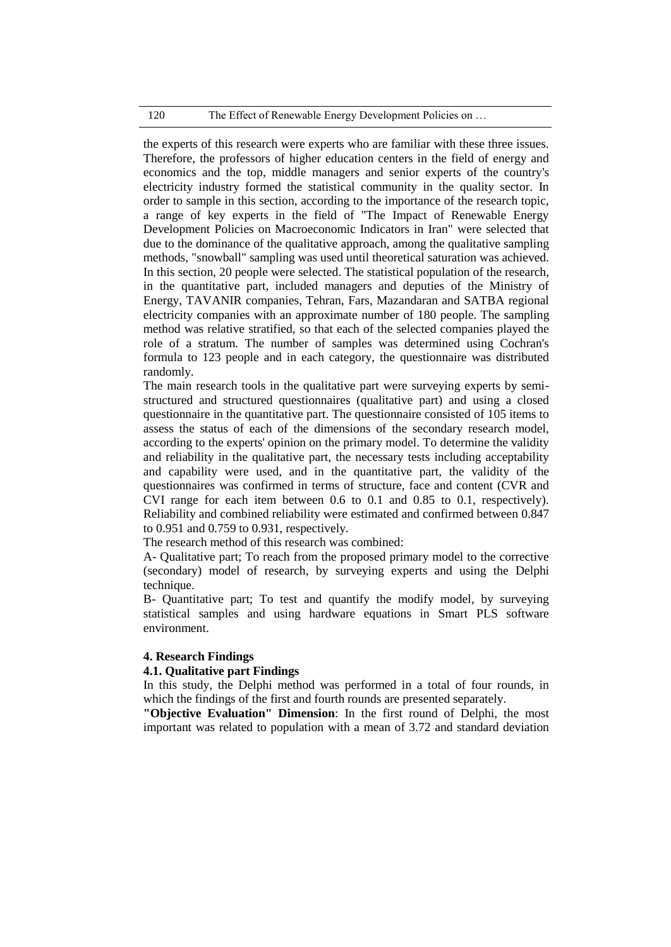# 120 The Effect of Renewable Energy Development Policies on ...

the experts of this research were experts who are familiar with these three issues. Therefore, the professors of higher education centers in the field of energy and economics and the top, middle managers and senior experts of the country's electricity industry formed the statistical community in the quality sector. In order to sample in this section, according to the importance of the research topic, a range of key experts in the field of "The Impact of Renewable Energy Development Policies on Macroeconomic Indicators in Iran" were selected that due to the dominance of the qualitative approach, among the qualitative sampling methods, "snowball" sampling was used until theoretical saturation was achieved. In this section, 20 people were selected. The statistical population of the research, in the quantitative part, included managers and deputies of the Ministry of Energy, TAVANIR companies, Tehran, Fars, Mazandaran and SATBA regional electricity companies with an approximate number of 180 people. The sampling method was relative stratified, so that each of the selected companies played the role of a stratum. The number of samples was determined using Cochran's formula to 123 people and in each category, the questionnaire was distributed randomly.

The main research tools in the qualitative part were surveying experts by semistructured and structured questionnaires (qualitative part) and using a closed questionnaire in the quantitative part. The questionnaire consisted of 105 items to assess the status of each of the dimensions of the secondary research model, according to the experts' opinion on the primary model. To determine the validity and reliability in the qualitative part, the necessary tests including acceptability and capability were used, and in the quantitative part, the validity of the questionnaires was confirmed in terms of structure, face and content (CVR and CVI range for each item between 0.6 to 0.1 and 0.85 to 0.1, respectively). Reliability and combined reliability were estimated and confirmed between 0.847 to 0.951 and 0.759 to 0.931, respectively.

The research method of this research was combined:

A- Qualitative part; To reach from the proposed primary model to the corrective (secondary) model of research, by surveying experts and using the Delphi technique.

B- Quantitative part; To test and quantify the modify model, by surveying statistical samples and using hardware equations in Smart PLS software environment.

# **4. Research Findings**

### **4.1. Qualitative part Findings**

In this study, the Delphi method was performed in a total of four rounds, in which the findings of the first and fourth rounds are presented separately.

**"Objective Evaluation" Dimension**: In the first round of Delphi, the most important was related to population with a mean of 3.72 and standard deviation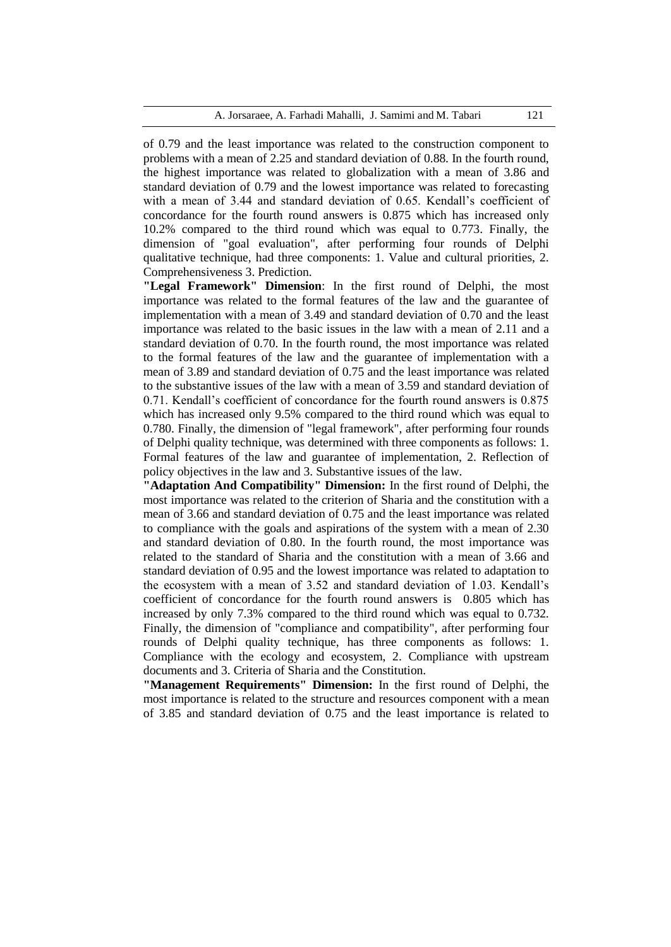of 0.79 and the least importance was related to the construction component to problems with a mean of 2.25 and standard deviation of 0.88. In the fourth round, the highest importance was related to globalization with a mean of 3.86 and standard deviation of 0.79 and the lowest importance was related to forecasting with a mean of 3.44 and standard deviation of 0.65. Kendall's coefficient of concordance for the fourth round answers is 0.875 which has increased only 10.2% compared to the third round which was equal to 0.773. Finally, the dimension of "goal evaluation", after performing four rounds of Delphi qualitative technique, had three components: 1. Value and cultural priorities, 2. Comprehensiveness 3. Prediction.

**"Legal Framework" Dimension**: In the first round of Delphi, the most importance was related to the formal features of the law and the guarantee of implementation with a mean of 3.49 and standard deviation of 0.70 and the least importance was related to the basic issues in the law with a mean of 2.11 and a standard deviation of 0.70. In the fourth round, the most importance was related to the formal features of the law and the guarantee of implementation with a mean of 3.89 and standard deviation of 0.75 and the least importance was related to the substantive issues of the law with a mean of 3.59 and standard deviation of 0.71. Kendall's coefficient of concordance for the fourth round answers is 0.875 which has increased only 9.5% compared to the third round which was equal to 0.780. Finally, the dimension of "legal framework", after performing four rounds of Delphi quality technique, was determined with three components as follows: 1. Formal features of the law and guarantee of implementation, 2. Reflection of policy objectives in the law and 3. Substantive issues of the law.

**"Adaptation And Compatibility" Dimension:** In the first round of Delphi, the most importance was related to the criterion of Sharia and the constitution with a mean of 3.66 and standard deviation of 0.75 and the least importance was related to compliance with the goals and aspirations of the system with a mean of 2.30 and standard deviation of 0.80. In the fourth round, the most importance was related to the standard of Sharia and the constitution with a mean of 3.66 and standard deviation of 0.95 and the lowest importance was related to adaptation to the ecosystem with a mean of 3.52 and standard deviation of 1.03. Kendall's coefficient of concordance for the fourth round answers is 0.805 which has increased by only 7.3% compared to the third round which was equal to 0.732. Finally, the dimension of "compliance and compatibility", after performing four rounds of Delphi quality technique, has three components as follows: 1. Compliance with the ecology and ecosystem, 2. Compliance with upstream documents and 3. Criteria of Sharia and the Constitution.

**"Management Requirements" Dimension:** In the first round of Delphi, the most importance is related to the structure and resources component with a mean of 3.85 and standard deviation of 0.75 and the least importance is related to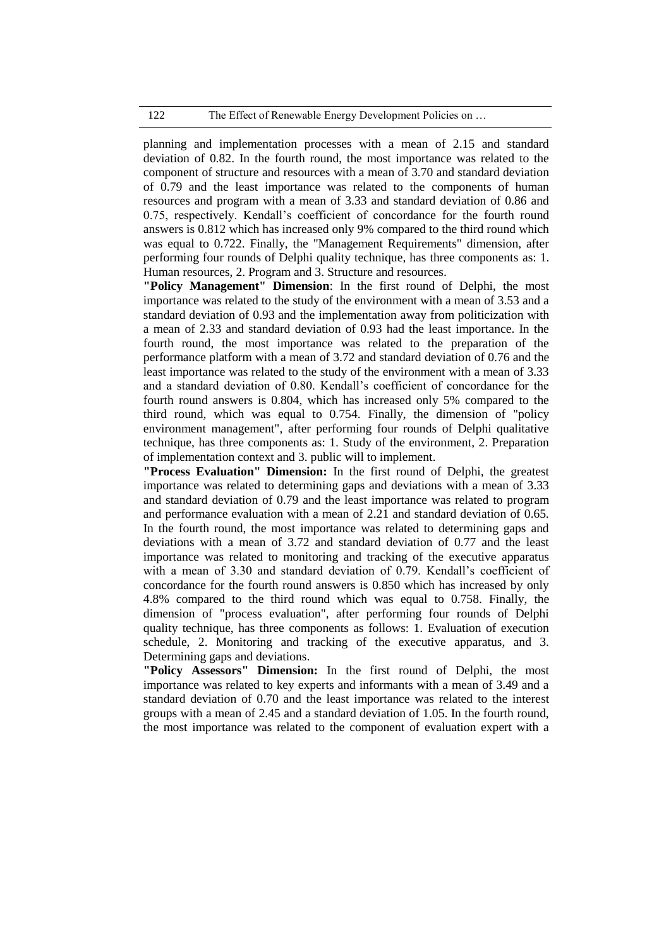planning and implementation processes with a mean of 2.15 and standard deviation of 0.82. In the fourth round, the most importance was related to the component of structure and resources with a mean of 3.70 and standard deviation of 0.79 and the least importance was related to the components of human resources and program with a mean of 3.33 and standard deviation of 0.86 and 0.75, respectively. Kendall's coefficient of concordance for the fourth round answers is 0.812 which has increased only 9% compared to the third round which was equal to 0.722. Finally, the "Management Requirements" dimension, after performing four rounds of Delphi quality technique, has three components as: 1. Human resources, 2. Program and 3. Structure and resources.

**"Policy Management" Dimension**: In the first round of Delphi, the most importance was related to the study of the environment with a mean of 3.53 and a standard deviation of 0.93 and the implementation away from politicization with a mean of 2.33 and standard deviation of 0.93 had the least importance. In the fourth round, the most importance was related to the preparation of the performance platform with a mean of 3.72 and standard deviation of 0.76 and the least importance was related to the study of the environment with a mean of 3.33 and a standard deviation of 0.80. Kendall's coefficient of concordance for the fourth round answers is 0.804, which has increased only 5% compared to the third round, which was equal to 0.754. Finally, the dimension of "policy environment management", after performing four rounds of Delphi qualitative technique, has three components as: 1. Study of the environment, 2. Preparation of implementation context and 3. public will to implement.

**"Process Evaluation" Dimension:** In the first round of Delphi, the greatest importance was related to determining gaps and deviations with a mean of 3.33 and standard deviation of 0.79 and the least importance was related to program and performance evaluation with a mean of 2.21 and standard deviation of 0.65. In the fourth round, the most importance was related to determining gaps and deviations with a mean of 3.72 and standard deviation of 0.77 and the least importance was related to monitoring and tracking of the executive apparatus with a mean of 3.30 and standard deviation of 0.79. Kendall's coefficient of concordance for the fourth round answers is 0.850 which has increased by only 4.8% compared to the third round which was equal to 0.758. Finally, the dimension of "process evaluation", after performing four rounds of Delphi quality technique, has three components as follows: 1. Evaluation of execution schedule, 2. Monitoring and tracking of the executive apparatus, and 3. Determining gaps and deviations.

**"Policy Assessors" Dimension:** In the first round of Delphi, the most importance was related to key experts and informants with a mean of 3.49 and a standard deviation of 0.70 and the least importance was related to the interest groups with a mean of 2.45 and a standard deviation of 1.05. In the fourth round, the most importance was related to the component of evaluation expert with a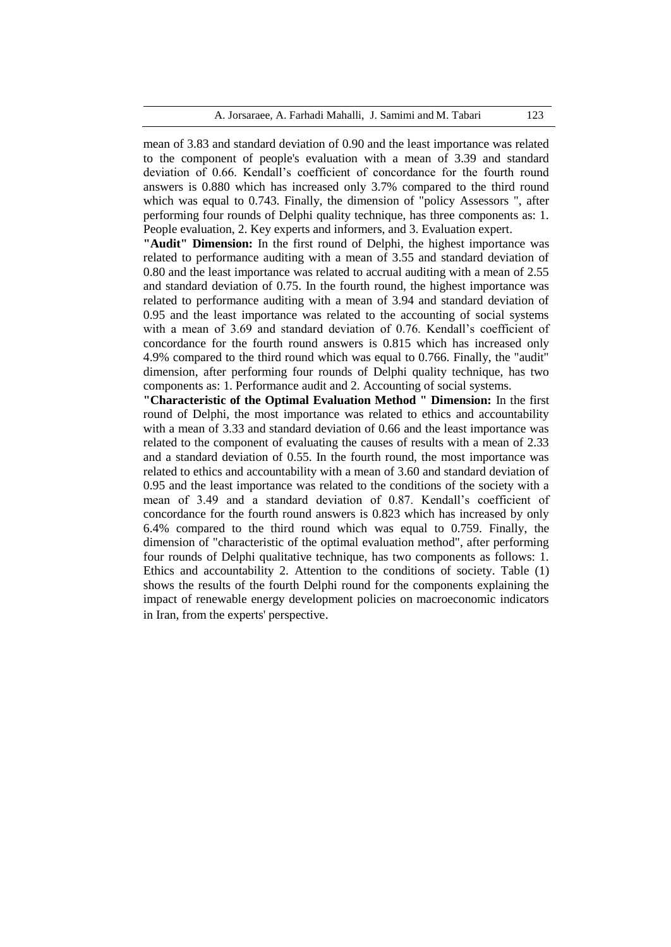mean of 3.83 and standard deviation of 0.90 and the least importance was related to the component of people's evaluation with a mean of 3.39 and standard deviation of 0.66. Kendall's coefficient of concordance for the fourth round answers is 0.880 which has increased only 3.7% compared to the third round which was equal to 0.743. Finally, the dimension of "policy Assessors ", after performing four rounds of Delphi quality technique, has three components as: 1. People evaluation, 2. Key experts and informers, and 3. Evaluation expert.

**"Audit" Dimension:** In the first round of Delphi, the highest importance was related to performance auditing with a mean of 3.55 and standard deviation of 0.80 and the least importance was related to accrual auditing with a mean of 2.55 and standard deviation of 0.75. In the fourth round, the highest importance was related to performance auditing with a mean of 3.94 and standard deviation of 0.95 and the least importance was related to the accounting of social systems with a mean of 3.69 and standard deviation of 0.76. Kendall's coefficient of concordance for the fourth round answers is 0.815 which has increased only 4.9% compared to the third round which was equal to 0.766. Finally, the "audit" dimension, after performing four rounds of Delphi quality technique, has two components as: 1. Performance audit and 2. Accounting of social systems.

**"Characteristic of the Optimal Evaluation Method " Dimension:** In the first round of Delphi, the most importance was related to ethics and accountability with a mean of 3.33 and standard deviation of 0.66 and the least importance was related to the component of evaluating the causes of results with a mean of 2.33 and a standard deviation of 0.55. In the fourth round, the most importance was related to ethics and accountability with a mean of 3.60 and standard deviation of 0.95 and the least importance was related to the conditions of the society with a mean of 3.49 and a standard deviation of 0.87. Kendall's coefficient of concordance for the fourth round answers is 0.823 which has increased by only 6.4% compared to the third round which was equal to 0.759. Finally, the dimension of "characteristic of the optimal evaluation method", after performing four rounds of Delphi qualitative technique, has two components as follows: 1. Ethics and accountability 2. Attention to the conditions of society. Table (1) shows the results of the fourth Delphi round for the components explaining the impact of renewable energy development policies on macroeconomic indicators in Iran, from the experts' perspective.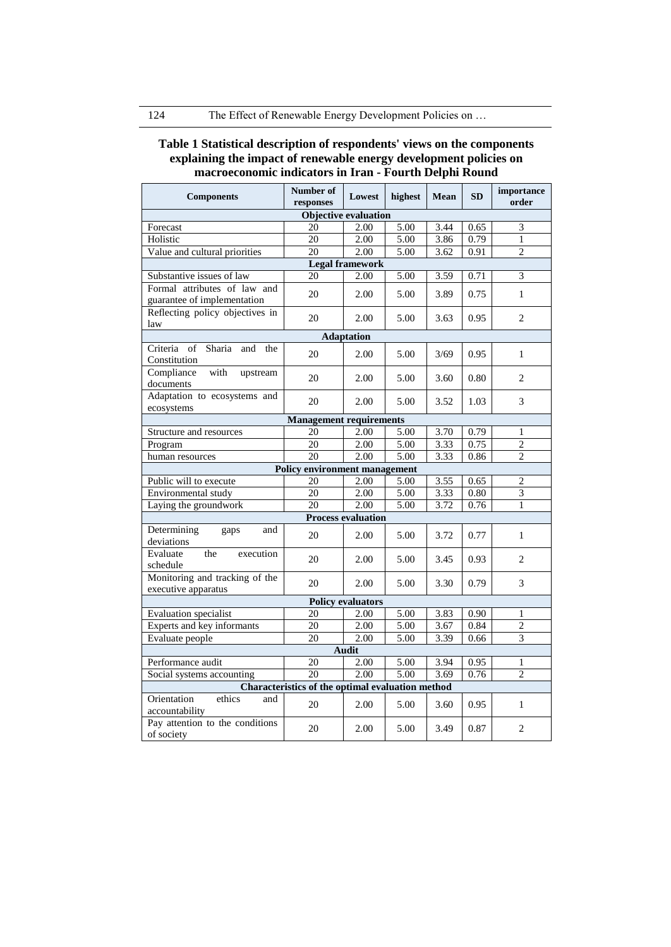# **Table 1 Statistical description of respondents' views on the components explaining the impact of renewable energy development policies on macroeconomic indicators in Iran - Fourth Delphi Round**

| <b>Components</b>                                      | Number of<br>responses               | Lowest            | highest | Mean | <b>SD</b> | importance<br>order |  |  |  |  |
|--------------------------------------------------------|--------------------------------------|-------------------|---------|------|-----------|---------------------|--|--|--|--|
| <b>Objective evaluation</b>                            |                                      |                   |         |      |           |                     |  |  |  |  |
| Forecast                                               | 20                                   | 2.00              | 5.00    | 3.44 | 0.65      | 3                   |  |  |  |  |
| Holistic                                               | 20                                   | 2.00              | 5.00    | 3.86 | 0.79      | $\mathbf{1}$        |  |  |  |  |
| Value and cultural priorities                          | 20                                   | 2.00              | 5.00    | 3.62 | 0.91      | $\overline{c}$      |  |  |  |  |
| <b>Legal framework</b>                                 |                                      |                   |         |      |           |                     |  |  |  |  |
| Substantive issues of law                              | 20                                   | 2.00              | 5.00    | 3.59 | 0.71      | $\overline{3}$      |  |  |  |  |
| Formal attributes of law and                           | 20                                   | 2.00              |         | 3.89 | 0.75      | $\mathbf{1}$        |  |  |  |  |
| guarantee of implementation                            |                                      |                   | 5.00    |      |           |                     |  |  |  |  |
| Reflecting policy objectives in                        | 20                                   | 2.00              | 5.00    | 3.63 | 0.95      | 2                   |  |  |  |  |
| law                                                    |                                      |                   |         |      |           |                     |  |  |  |  |
|                                                        |                                      | <b>Adaptation</b> |         |      |           |                     |  |  |  |  |
| of<br>Sharia<br>Criteria<br>and<br>the<br>Constitution | 20                                   | 2.00              | 5.00    | 3/69 | 0.95      | $\mathbf{1}$        |  |  |  |  |
| Compliance<br>with<br>upstream<br>documents            | 20                                   | 2.00              | 5.00    | 3.60 | 0.80      | $\overline{2}$      |  |  |  |  |
| Adaptation to ecosystems and<br>ecosystems             | 20                                   | 2.00              | 5.00    | 3.52 | 1.03      | 3                   |  |  |  |  |
|                                                        | <b>Management requirements</b>       |                   |         |      |           |                     |  |  |  |  |
| Structure and resources                                | 20                                   | 2.00              | 5.00    | 3.70 | 0.79      | 1                   |  |  |  |  |
| Program                                                | 20                                   | 2.00              | 5.00    | 3.33 | 0.75      | $\overline{2}$      |  |  |  |  |
| human resources                                        | 20                                   | 2.00              | 5.00    | 3.33 | 0.86      | $\overline{c}$      |  |  |  |  |
|                                                        | <b>Policy environment management</b> |                   |         |      |           |                     |  |  |  |  |
| Public will to execute                                 | 20                                   | 2.00              | 5.00    | 3.55 | 0.65      | $\overline{c}$      |  |  |  |  |
| Environmental study                                    | 20                                   | 2.00              | 5.00    | 3.33 | 0.80      | $\overline{3}$      |  |  |  |  |
| Laying the groundwork                                  | 20                                   | 2.00              | 5.00    | 3.72 | 0.76      | 1                   |  |  |  |  |
| <b>Process evaluation</b>                              |                                      |                   |         |      |           |                     |  |  |  |  |
| Determining<br>and<br>gaps<br>deviations               | 20                                   | 2.00              | 5.00    | 3.72 | 0.77      | $\mathbf{1}$        |  |  |  |  |
| the<br>execution<br>Evaluate<br>schedule               | 20                                   | 2.00              | 5.00    | 3.45 | 0.93      | 2                   |  |  |  |  |
| Monitoring and tracking of the<br>executive apparatus  | 20                                   | 2.00              | 5.00    | 3.30 | 0.79      | 3                   |  |  |  |  |
| <b>Policy evaluators</b>                               |                                      |                   |         |      |           |                     |  |  |  |  |
| Evaluation specialist                                  | 20                                   | 2.00              | 5.00    | 3.83 | 0.90      | 1                   |  |  |  |  |
| Experts and key informants                             | 20                                   | 2.00              | 5.00    | 3.67 | 0.84      | $\overline{2}$      |  |  |  |  |
| Evaluate people                                        | 20                                   | 2.00              | 5.00    | 3.39 | 0.66      | 3                   |  |  |  |  |
| <b>Audit</b>                                           |                                      |                   |         |      |           |                     |  |  |  |  |
| Performance audit                                      | 20                                   | 2.00              | 5.00    | 3.94 | 0.95      | 1                   |  |  |  |  |
| Social systems accounting                              | 20                                   | 2.00              | 5.00    | 3.69 | 0.76      | $\overline{2}$      |  |  |  |  |
| Characteristics of the optimal evaluation method       |                                      |                   |         |      |           |                     |  |  |  |  |
| Orientation<br>ethics<br>and<br>accountability         | 20                                   | 2.00              | 5.00    | 3.60 | 0.95      | $\mathbf{1}$        |  |  |  |  |
| Pay attention to the conditions<br>of society          | 20                                   | 2.00              | 5.00    | 3.49 | 0.87      | $\overline{c}$      |  |  |  |  |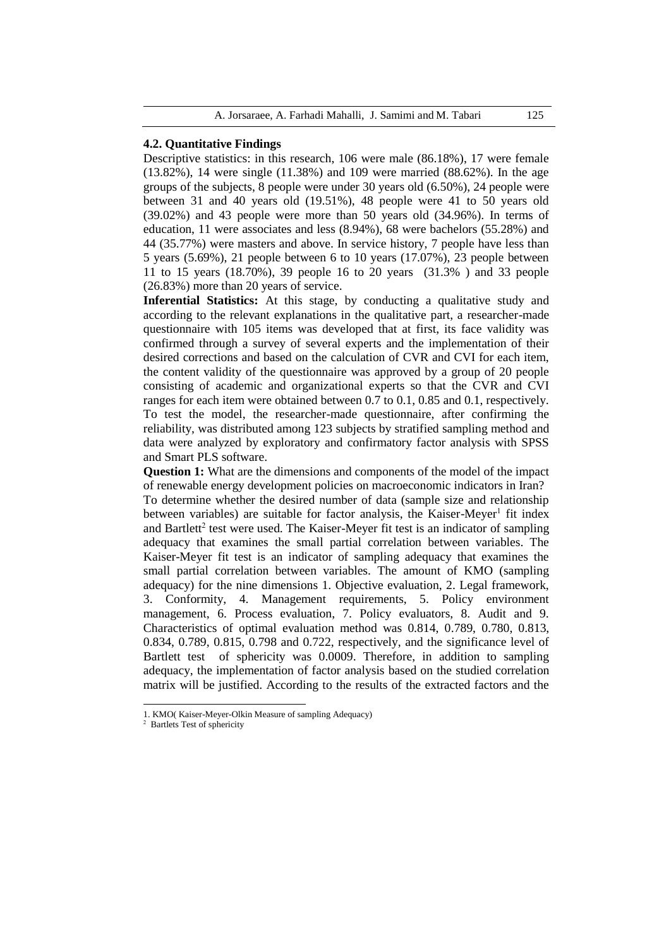# **4.2. Quantitative Findings**

Descriptive statistics: in this research, 106 were male (86.18%), 17 were female (13.82%), 14 were single (11.38%) and 109 were married (88.62%). In the age groups of the subjects, 8 people were under 30 years old (6.50%), 24 people were between 31 and 40 years old (19.51%), 48 people were 41 to 50 years old (39.02%) and 43 people were more than 50 years old (34.96%). In terms of education, 11 were associates and less (8.94%), 68 were bachelors (55.28%) and 44 (35.77%) were masters and above. In service history, 7 people have less than 5 years (5.69%), 21 people between 6 to 10 years (17.07%), 23 people between 11 to 15 years (18.70%), 39 people 16 to 20 years (31.3% ) and 33 people (26.83%) more than 20 years of service.

**Inferential Statistics:** At this stage, by conducting a qualitative study and according to the relevant explanations in the qualitative part, a researcher-made questionnaire with 105 items was developed that at first, its face validity was confirmed through a survey of several experts and the implementation of their desired corrections and based on the calculation of CVR and CVI for each item, the content validity of the questionnaire was approved by a group of 20 people consisting of academic and organizational experts so that the CVR and CVI ranges for each item were obtained between 0.7 to 0.1, 0.85 and 0.1, respectively. To test the model, the researcher-made questionnaire, after confirming the reliability, was distributed among 123 subjects by stratified sampling method and data were analyzed by exploratory and confirmatory factor analysis with SPSS and Smart PLS software.

**Question 1:** What are the dimensions and components of the model of the impact of renewable energy development policies on macroeconomic indicators in Iran? To determine whether the desired number of data (sample size and relationship between variables) are suitable for factor analysis, the Kaiser-Meyer<sup>1</sup> fit index and Bartlett<sup>2</sup> test were used. The Kaiser-Meyer fit test is an indicator of sampling adequacy that examines the small partial correlation between variables. The Kaiser-Meyer fit test is an indicator of sampling adequacy that examines the small partial correlation between variables. The amount of KMO (sampling adequacy) for the nine dimensions 1. Objective evaluation, 2. Legal framework, 3. Conformity, 4. Management requirements, 5. Policy environment management, 6. Process evaluation, 7. Policy evaluators, 8. Audit and 9. Characteristics of optimal evaluation method was 0.814, 0.789, 0.780, 0.813, 0.834, 0.789, 0.815, 0.798 and 0.722, respectively, and the significance level of Bartlett test of sphericity was 0.0009. Therefore, in addition to sampling adequacy, the implementation of factor analysis based on the studied correlation matrix will be justified. According to the results of the extracted factors and the

 $\overline{\phantom{a}}$ 

<sup>1.</sup> KMO( Kaiser-Meyer-Olkin Measure of sampling Adequacy)

 $2$  Bartlets Test of sphericity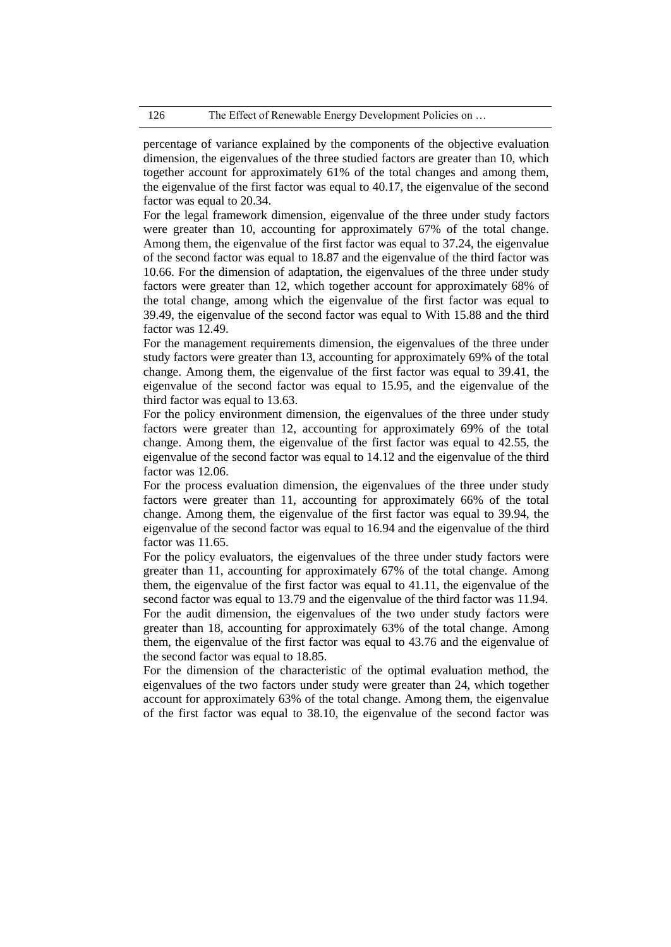percentage of variance explained by the components of the objective evaluation dimension, the eigenvalues of the three studied factors are greater than 10, which together account for approximately 61% of the total changes and among them, the eigenvalue of the first factor was equal to 40.17, the eigenvalue of the second factor was equal to 20.34.

For the legal framework dimension, eigenvalue of the three under study factors were greater than 10, accounting for approximately 67% of the total change. Among them, the eigenvalue of the first factor was equal to 37.24, the eigenvalue of the second factor was equal to 18.87 and the eigenvalue of the third factor was 10.66. For the dimension of adaptation, the eigenvalues of the three under study factors were greater than 12, which together account for approximately 68% of the total change, among which the eigenvalue of the first factor was equal to 39.49, the eigenvalue of the second factor was equal to With 15.88 and the third factor was 12.49.

For the management requirements dimension, the eigenvalues of the three under study factors were greater than 13, accounting for approximately 69% of the total change. Among them, the eigenvalue of the first factor was equal to 39.41, the eigenvalue of the second factor was equal to 15.95, and the eigenvalue of the third factor was equal to 13.63.

For the policy environment dimension, the eigenvalues of the three under study factors were greater than 12, accounting for approximately 69% of the total change. Among them, the eigenvalue of the first factor was equal to 42.55, the eigenvalue of the second factor was equal to 14.12 and the eigenvalue of the third factor was 12.06.

For the process evaluation dimension, the eigenvalues of the three under study factors were greater than 11, accounting for approximately 66% of the total change. Among them, the eigenvalue of the first factor was equal to 39.94, the eigenvalue of the second factor was equal to 16.94 and the eigenvalue of the third factor was 11.65.

For the policy evaluators, the eigenvalues of the three under study factors were greater than 11, accounting for approximately 67% of the total change. Among them, the eigenvalue of the first factor was equal to 41.11, the eigenvalue of the second factor was equal to 13.79 and the eigenvalue of the third factor was 11.94. For the audit dimension, the eigenvalues of the two under study factors were greater than 18, accounting for approximately 63% of the total change. Among them, the eigenvalue of the first factor was equal to 43.76 and the eigenvalue of the second factor was equal to 18.85.

For the dimension of the characteristic of the optimal evaluation method, the eigenvalues of the two factors under study were greater than 24, which together account for approximately 63% of the total change. Among them, the eigenvalue of the first factor was equal to 38.10, the eigenvalue of the second factor was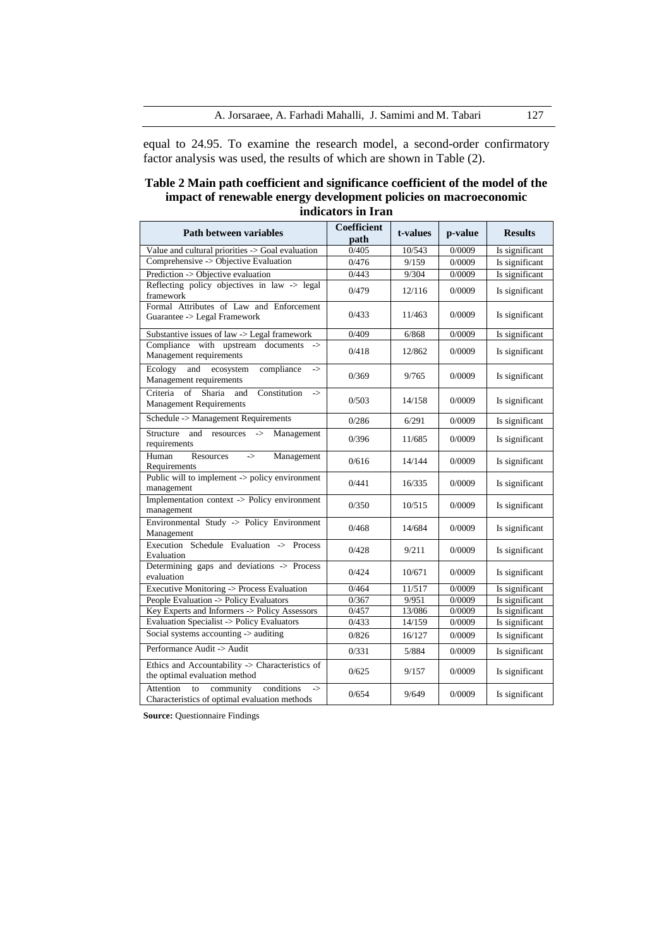equal to 24.95. To examine the research model, a second-order confirmatory factor analysis was used, the results of which are shown in Table (2).

# **Table 2 Main path coefficient and significance coefficient of the model of the impact of renewable energy development policies on macroeconomic indicators in Iran**

| <b>Path between variables</b>                                                                                       | <b>Coefficient</b><br>path | t-values | p-value | <b>Results</b> |
|---------------------------------------------------------------------------------------------------------------------|----------------------------|----------|---------|----------------|
| Value and cultural priorities -> Goal evaluation                                                                    | 0/405                      | 10/543   | 0/0009  | Is significant |
| Comprehensive -> Objective Evaluation                                                                               | 0/476                      | 9/159    | 0/0009  | Is significant |
| Prediction -> Objective evaluation                                                                                  | 0/443                      | 9/304    | 0/0009  | Is significant |
| Reflecting policy objectives in law -> legal<br>framework                                                           | 0/479                      | 12/116   | 0/0009  | Is significant |
| Formal Attributes of Law and Enforcement<br>Guarantee -> Legal Framework                                            | 0/433                      | 11/463   | 0/0009  | Is significant |
| Substantive issues of law -> Legal framework                                                                        | 0/409                      | 6/868    | 0/0009  | Is significant |
| Compliance with upstream documents<br>$\rightarrow$<br>Management requirements                                      | 0/418                      | 12/862   | 0/0009  | Is significant |
| Ecology<br>ecosystem<br>compliance<br>and<br>$\Rightarrow$<br>Management requirements                               | 0/369                      | 9/765    | 0/0009  | Is significant |
| Sharia<br>Criteria of<br>and<br>Constitution<br>-><br><b>Management Requirements</b>                                | 0/503                      | 14/158   | 0/0009  | Is significant |
| Schedule -> Management Requirements                                                                                 | 0/286                      | 6/291    | 0/0009  | Is significant |
| Structure<br>and<br>resources<br>Management<br>$\mathord{\text{--}}$<br>requirements                                | 0/396                      | 11/685   | 0/0009  | Is significant |
| Human<br>Resources<br>$\rightarrow$<br>Management<br>Requirements                                                   | 0/616                      | 14/144   | 0/0009  | Is significant |
| Public will to implement -> policy environment<br>management                                                        | 0/441                      | 16/335   | 0/0009  | Is significant |
| Implementation context -> Policy environment<br>management                                                          | 0/350                      | 10/515   | 0/0009  | Is significant |
| Environmental Study -> Policy Environment<br>Management                                                             | 0/468                      | 14/684   | 0/0009  | Is significant |
| Execution Schedule Evaluation -> Process<br>Evaluation                                                              | 0/428                      | 9/211    | 0/0009  | Is significant |
| Determining gaps and deviations -> Process<br>evaluation                                                            | 0/424                      | 10/671   | 0/0009  | Is significant |
| Executive Monitoring -> Process Evaluation                                                                          | 0/464                      | 11/517   | 0/0009  | Is significant |
| People Evaluation -> Policy Evaluators                                                                              | 0/367                      | 9/951    | 0/0009  | Is significant |
| Key Experts and Informers -> Policy Assessors                                                                       | 0/457                      | 13/086   | 0/0009  | Is significant |
| <b>Evaluation Specialist -&gt; Policy Evaluators</b>                                                                | 0/433                      | 14/159   | 0/0009  | Is significant |
| Social systems accounting -> auditing                                                                               | 0/826                      | 16/127   | 0/0009  | Is significant |
| Performance Audit -> Audit                                                                                          | 0/331                      | 5/884    | 0/0009  | Is significant |
| Ethics and Accountability -> Characteristics of<br>the optimal evaluation method                                    | 0/625                      | 9/157    | 0/0009  | Is significant |
| <b>Attention</b><br>community<br>conditions<br>to<br>$\Rightarrow$<br>Characteristics of optimal evaluation methods | 0/654                      | 9/649    | 0/0009  | Is significant |

**Source:** Questionnaire Findings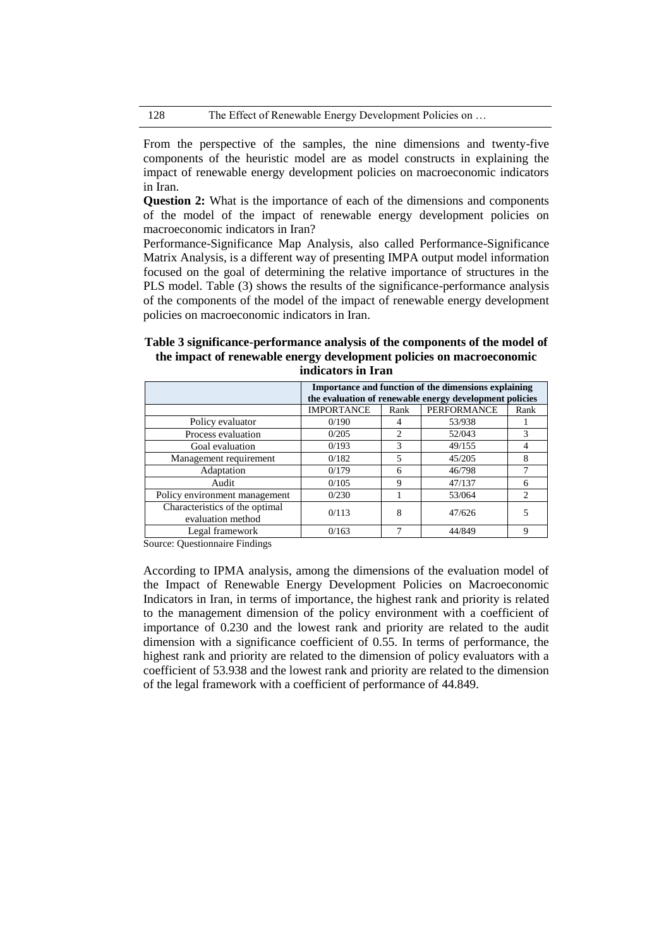From the perspective of the samples, the nine dimensions and twenty-five components of the heuristic model are as model constructs in explaining the impact of renewable energy development policies on macroeconomic indicators in Iran.

**Question 2:** What is the importance of each of the dimensions and components of the model of the impact of renewable energy development policies on macroeconomic indicators in Iran?

Performance-Significance Map Analysis, also called Performance-Significance Matrix Analysis, is a different way of presenting IMPA output model information focused on the goal of determining the relative importance of structures in the PLS model. Table (3) shows the results of the significance-performance analysis of the components of the model of the impact of renewable energy development policies on macroeconomic indicators in Iran.

# **Table 3 significance-performance analysis of the components of the model of the impact of renewable energy development policies on macroeconomic indicators in Iran**

|                                                     | Importance and function of the dimensions explaining<br>the evaluation of renewable energy development policies |                             |             |                             |  |  |  |  |
|-----------------------------------------------------|-----------------------------------------------------------------------------------------------------------------|-----------------------------|-------------|-----------------------------|--|--|--|--|
|                                                     | <b>IMPORTANCE</b>                                                                                               | Rank                        | PERFORMANCE | Rank                        |  |  |  |  |
| Policy evaluator                                    | 0/190                                                                                                           |                             | 53/938      |                             |  |  |  |  |
| Process evaluation                                  | 0/205                                                                                                           | $\mathcal{D}_{\mathcal{L}}$ | 52/043      | 3                           |  |  |  |  |
| Goal evaluation                                     | 0/193                                                                                                           | 3                           | 49/155      |                             |  |  |  |  |
| Management requirement                              | 0/182                                                                                                           | 5                           | 45/205      | 8                           |  |  |  |  |
| Adaptation                                          | 0/179                                                                                                           | 6                           | 46/798      |                             |  |  |  |  |
| Audit                                               | 0/105                                                                                                           | 9                           | 47/137      | 6                           |  |  |  |  |
| Policy environment management                       | 0/230                                                                                                           |                             | 53/064      | $\mathcal{D}_{\mathcal{L}}$ |  |  |  |  |
| Characteristics of the optimal<br>evaluation method | 0/113                                                                                                           | 8                           | 47/626      |                             |  |  |  |  |
| Legal framework                                     | 0/163                                                                                                           |                             | 44/849      | 9                           |  |  |  |  |

Source: Questionnaire Findings

According to IPMA analysis, among the dimensions of the evaluation model of the Impact of Renewable Energy Development Policies on Macroeconomic Indicators in Iran, in terms of importance, the highest rank and priority is related to the management dimension of the policy environment with a coefficient of importance of 0.230 and the lowest rank and priority are related to the audit dimension with a significance coefficient of 0.55. In terms of performance, the highest rank and priority are related to the dimension of policy evaluators with a coefficient of 53.938 and the lowest rank and priority are related to the dimension of the legal framework with a coefficient of performance of 44.849.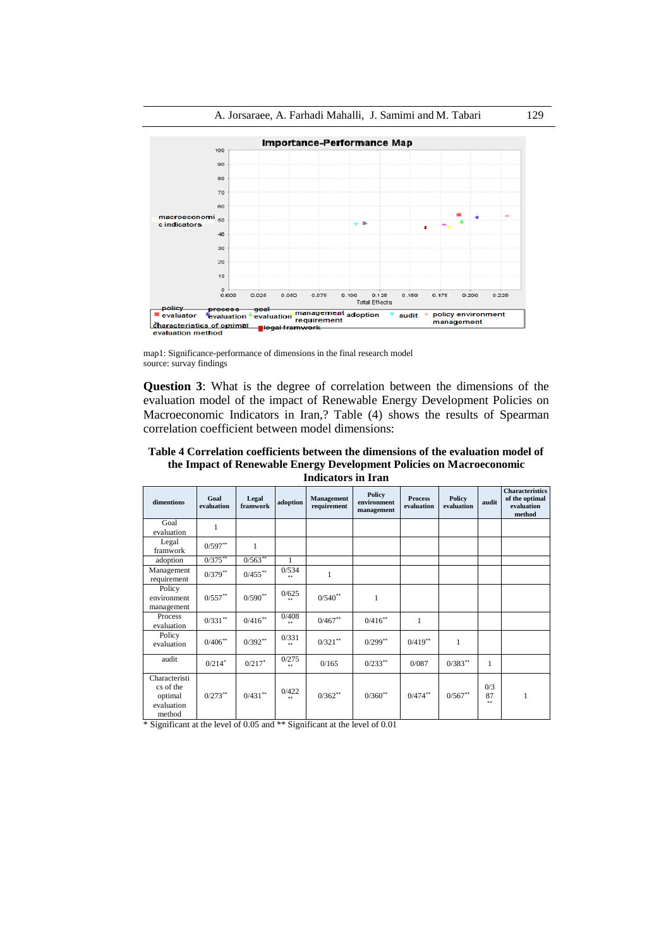

map1: Significance-performance of dimensions in the final research model source: survay findings

**Question 3**: What is the degree of correlation between the dimensions of the evaluation model of the impact of Renewable Energy Development Policies on Macroeconomic Indicators in Iran,? Table (4) shows the results of Spearman correlation coefficient between model dimensions:

**Table 4 Correlation coefficients between the dimensions of the evaluation model of the Impact of Renewable Energy Development Policies on Macroeconomic Indicators in Iran**

| dimentions                                                    | Goal<br>evaluation   | Legal<br>framwork | adoption            | Management<br>requirement | <b>Policy</b><br>environment<br>management | <b>Process</b><br>evaluation | Policy<br>evaluation | audit           | <b>Characteristics</b><br>of the optimal<br>evaluation<br>method |
|---------------------------------------------------------------|----------------------|-------------------|---------------------|---------------------------|--------------------------------------------|------------------------------|----------------------|-----------------|------------------------------------------------------------------|
| Goal<br>evaluation                                            | 1                    |                   |                     |                           |                                            |                              |                      |                 |                                                                  |
| Legal<br>framwork                                             | $0/597**$            | 1                 |                     |                           |                                            |                              |                      |                 |                                                                  |
| adoption                                                      | $0/375***$           | $0/563**$         | 1                   |                           |                                            |                              |                      |                 |                                                                  |
| Management<br>requirement                                     | $0/379**$            | $0/455$ **        | 0/534<br>**         | 1                         |                                            |                              |                      |                 |                                                                  |
| Policy<br>environment<br>management                           | $0/557$ **           | $0/590**$         | 0/625<br>**         | $0/540^{**}$              | 1                                          |                              |                      |                 |                                                                  |
| Process<br>evaluation                                         | $0/331$ **           | $0/416^{**}$      | 0/408<br>**         | $0/467$ **                | $0/416$ **                                 | 1                            |                      |                 |                                                                  |
| Policy<br>evaluation                                          | $0/406$ **           | $0/392**$         | 0/331<br><b>A</b> W | $0/321$ **                | $0/299**$                                  | $0/419**$                    | 1                    |                 |                                                                  |
| audit                                                         | $0/214$ <sup>*</sup> | $0/217$ *         | 0/275<br>**         | 0/165                     | $0/233$ **                                 | 0/087                        | $0/383***$           | 1               |                                                                  |
| Characteristi<br>cs of the<br>optimal<br>evaluation<br>method | $0/273***$           | $0/431\sp{^{**}}$ | 0/422<br><b>A</b> W | $0/362**$                 | $0/360**$                                  | $0/474$ **                   | $0/567**$            | 0/3<br>87<br>** | 1                                                                |

\* Significant at the level of 0.05 and \*\* Significant at the level of 0.01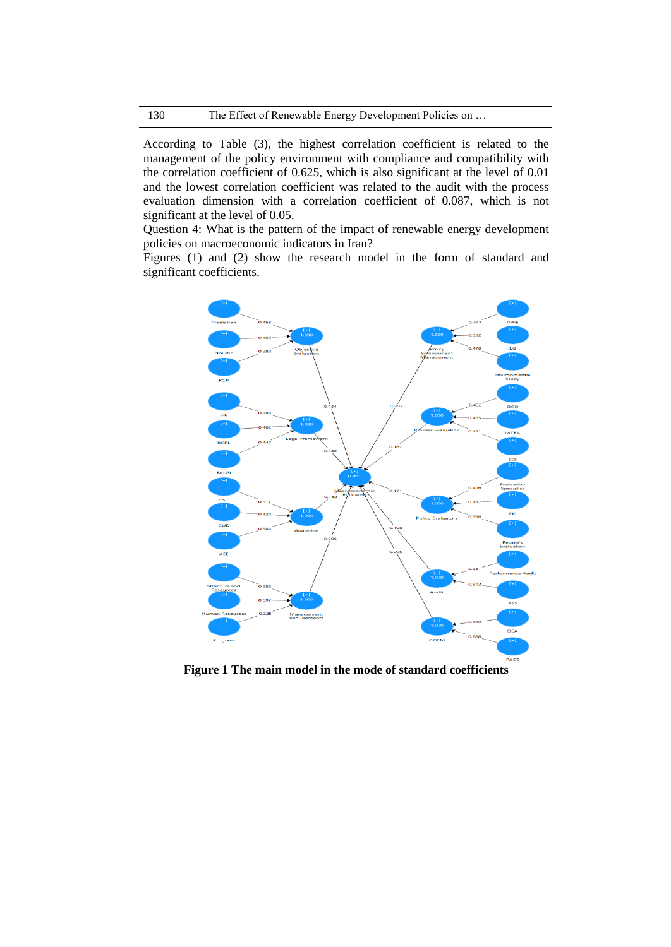According to Table (3), the highest correlation coefficient is related to the management of the policy environment with compliance and compatibility with the correlation coefficient of 0.625, which is also significant at the level of 0.01 and the lowest correlation coefficient was related to the audit with the process evaluation dimension with a correlation coefficient of 0.087, which is not significant at the level of 0.05.

Question 4: What is the pattern of the impact of renewable energy development policies on macroeconomic indicators in Iran?

Figures (1) and (2) show the research model in the form of standard and significant coefficients.



**Figure 1 The main model in the mode of standard coefficients**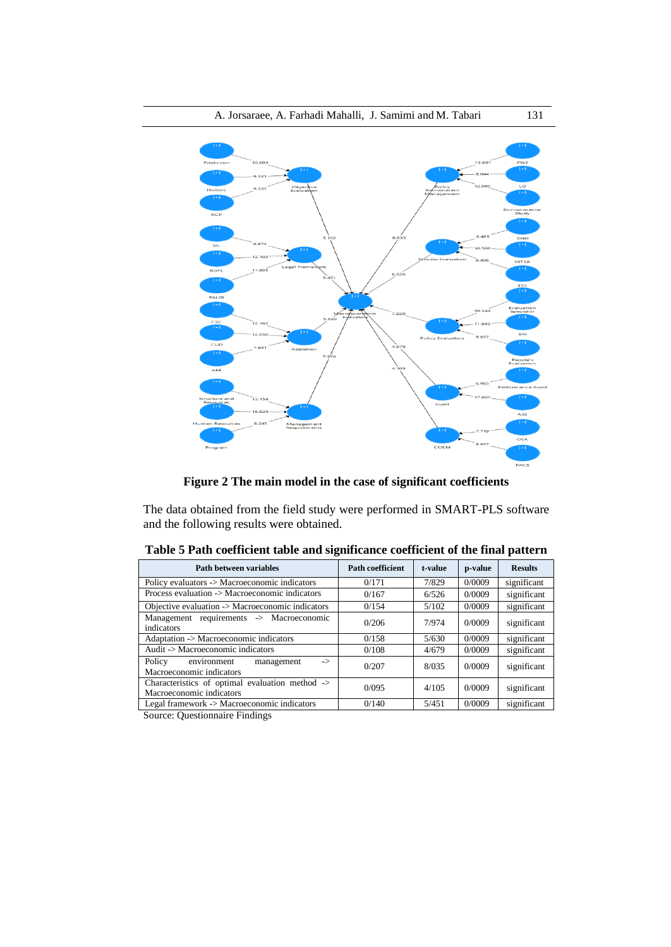

**Figure 2 The main model in the case of significant coefficients**

The data obtained from the field study were performed in SMART-PLS software and the following results were obtained.

| <b>Path between variables</b>                                               | <b>Path coefficient</b> | t-value | p-value | <b>Results</b> |
|-----------------------------------------------------------------------------|-------------------------|---------|---------|----------------|
| Policy evaluators -> Macroeconomic indicators                               | 0/171                   | 7/829   | 0/0009  | significant    |
| Process evaluation -> Macroeconomic indicators                              | 0/167                   | 6/526   | 0/0009  | significant    |
| Objective evaluation -> Macroeconomic indicators                            | 0/154                   | 5/102   | 0/0009  | significant    |
| Management requirements -> Macroeconomic<br>indicators                      | 0/206                   | 7/974   | 0/0009  | significant    |
| Adaptation -> Macroeconomic indicators                                      | 0/158                   | 5/630   | 0/0009  | significant    |
| Audit -> Macroeconomic indicators                                           | 0/108                   | 4/679   | 0/0009  | significant    |
| environment<br>Policy<br>management<br>-><br>Macroeconomic indicators       | 0/207                   | 8/035   | 0/0009  | significant    |
| Characteristics of optimal evaluation method -><br>Macroeconomic indicators | 0/095                   | 4/105   | 0/0009  | significant    |
| Legal framework -> Macroeconomic indicators                                 | 0/140                   | 5/451   | 0/0009  | significant    |

**Table 5 Path coefficient table and significance coefficient of the final pattern**

Source: Questionnaire Findings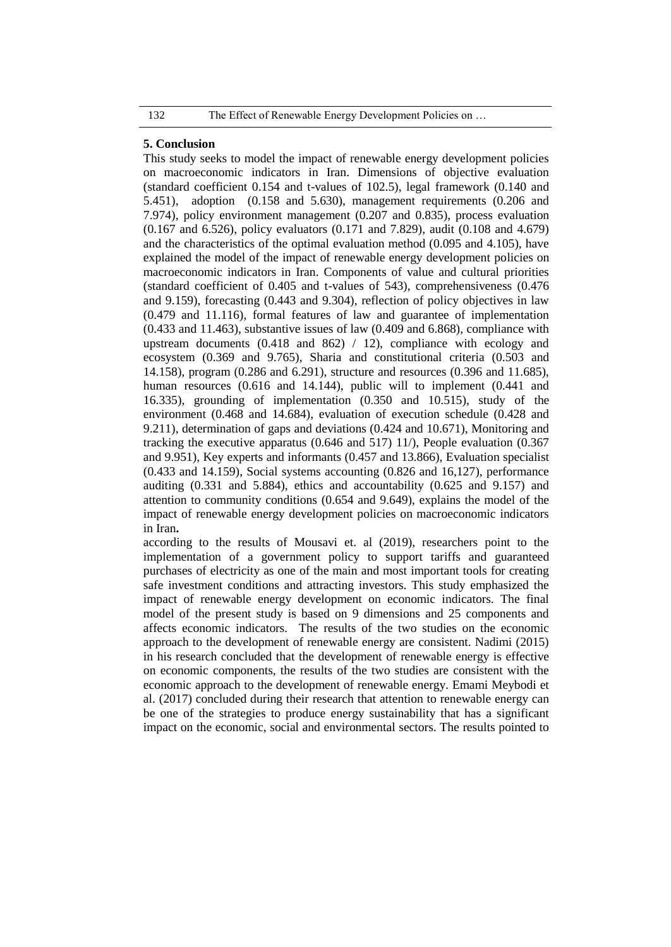# **5. Conclusion**

This study seeks to model the impact of renewable energy development policies on macroeconomic indicators in Iran. Dimensions of objective evaluation (standard coefficient 0.154 and t-values of 102.5), legal framework (0.140 and 5.451), adoption (0.158 and 5.630), management requirements (0.206 and 7.974), policy environment management (0.207 and 0.835), process evaluation (0.167 and 6.526), policy evaluators (0.171 and 7.829), audit (0.108 and 4.679) and the characteristics of the optimal evaluation method (0.095 and 4.105), have explained the model of the impact of renewable energy development policies on macroeconomic indicators in Iran. Components of value and cultural priorities (standard coefficient of 0.405 and t-values of 543), comprehensiveness (0.476 and 9.159), forecasting (0.443 and 9.304), reflection of policy objectives in law (0.479 and 11.116), formal features of law and guarantee of implementation (0.433 and 11.463), substantive issues of law (0.409 and 6.868), compliance with upstream documents (0.418 and 862) / 12), compliance with ecology and ecosystem (0.369 and 9.765), Sharia and constitutional criteria (0.503 and 14.158), program (0.286 and 6.291), structure and resources (0.396 and 11.685), human resources (0.616 and 14.144), public will to implement (0.441 and 16.335), grounding of implementation (0.350 and 10.515), study of the environment (0.468 and 14.684), evaluation of execution schedule (0.428 and 9.211), determination of gaps and deviations (0.424 and 10.671), Monitoring and tracking the executive apparatus (0.646 and 517) 11/), People evaluation (0.367 and 9.951), Key experts and informants (0.457 and 13.866), Evaluation specialist (0.433 and 14.159), Social systems accounting (0.826 and 16,127), performance auditing (0.331 and 5.884), ethics and accountability (0.625 and 9.157) and attention to community conditions (0.654 and 9.649), explains the model of the impact of renewable energy development policies on macroeconomic indicators in Iran**.**

according to the results of Mousavi et. al (2019), researchers point to the implementation of a government policy to support tariffs and guaranteed purchases of electricity as one of the main and most important tools for creating safe investment conditions and attracting investors. This study emphasized the impact of renewable energy development on economic indicators. The final model of the present study is based on 9 dimensions and 25 components and affects economic indicators. The results of the two studies on the economic approach to the development of renewable energy are consistent. Nadimi (2015) in his research concluded that the development of renewable energy is effective on economic components, the results of the two studies are consistent with the economic approach to the development of renewable energy. Emami Meybodi et al. (2017) concluded during their research that attention to renewable energy can be one of the strategies to produce energy sustainability that has a significant impact on the economic, social and environmental sectors. The results pointed to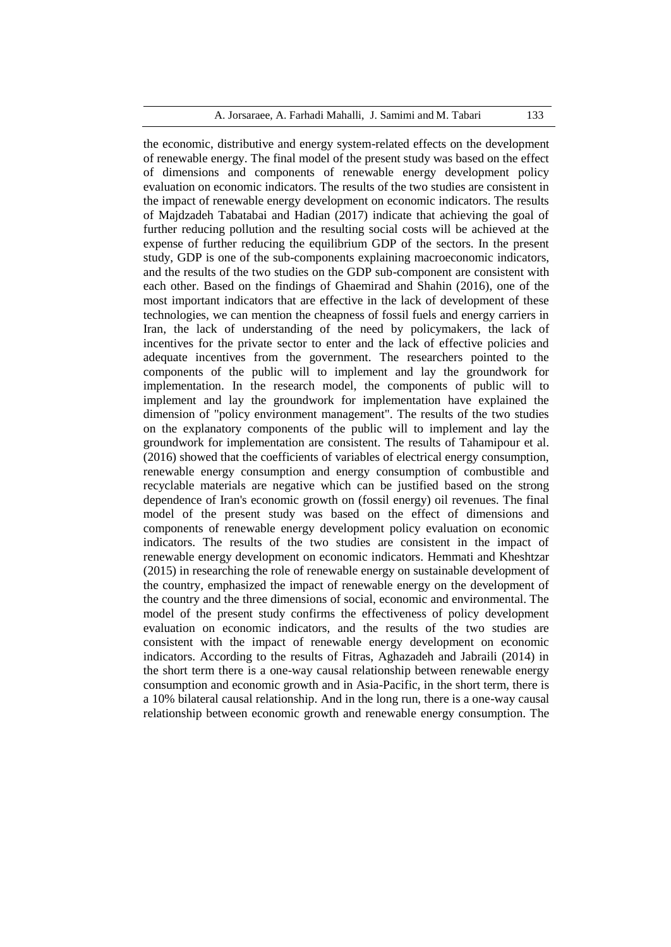A. Jorsaraee, A. Farhadi Mahalli, J. Samimi and M. Tabari 133

the economic, distributive and energy system-related effects on the development of renewable energy. The final model of the present study was based on the effect of dimensions and components of renewable energy development policy evaluation on economic indicators. The results of the two studies are consistent in the impact of renewable energy development on economic indicators. The results of Majdzadeh Tabatabai and Hadian (2017) indicate that achieving the goal of further reducing pollution and the resulting social costs will be achieved at the expense of further reducing the equilibrium GDP of the sectors. In the present study, GDP is one of the sub-components explaining macroeconomic indicators, and the results of the two studies on the GDP sub-component are consistent with each other. Based on the findings of Ghaemirad and Shahin (2016), one of the most important indicators that are effective in the lack of development of these technologies, we can mention the cheapness of fossil fuels and energy carriers in Iran, the lack of understanding of the need by policymakers, the lack of incentives for the private sector to enter and the lack of effective policies and adequate incentives from the government. The researchers pointed to the components of the public will to implement and lay the groundwork for implementation. In the research model, the components of public will to implement and lay the groundwork for implementation have explained the dimension of "policy environment management". The results of the two studies on the explanatory components of the public will to implement and lay the groundwork for implementation are consistent. The results of Tahamipour et al. (2016) showed that the coefficients of variables of electrical energy consumption, renewable energy consumption and energy consumption of combustible and recyclable materials are negative which can be justified based on the strong dependence of Iran's economic growth on (fossil energy) oil revenues. The final model of the present study was based on the effect of dimensions and components of renewable energy development policy evaluation on economic indicators. The results of the two studies are consistent in the impact of renewable energy development on economic indicators. Hemmati and Kheshtzar (2015) in researching the role of renewable energy on sustainable development of the country, emphasized the impact of renewable energy on the development of the country and the three dimensions of social, economic and environmental. The model of the present study confirms the effectiveness of policy development evaluation on economic indicators, and the results of the two studies are consistent with the impact of renewable energy development on economic indicators. According to the results of Fitras, Aghazadeh and Jabraili (2014) in the short term there is a one-way causal relationship between renewable energy consumption and economic growth and in Asia-Pacific, in the short term, there is a 10% bilateral causal relationship. And in the long run, there is a one-way causal relationship between economic growth and renewable energy consumption. The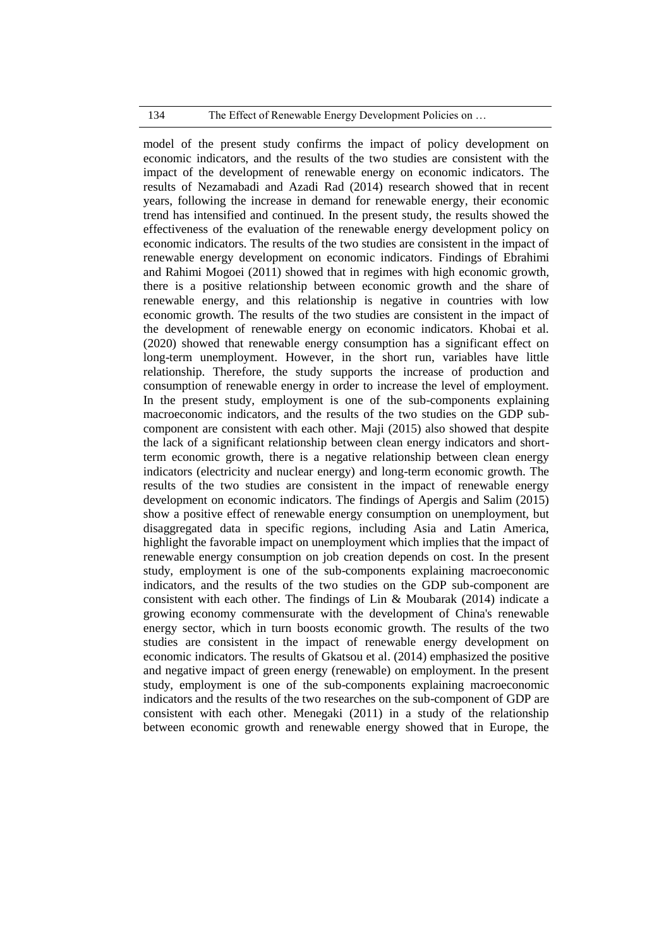# 134 The Effect of Renewable Energy Development Policies on ...

model of the present study confirms the impact of policy development on economic indicators, and the results of the two studies are consistent with the impact of the development of renewable energy on economic indicators. The results of Nezamabadi and Azadi Rad (2014) research showed that in recent years, following the increase in demand for renewable energy, their economic trend has intensified and continued. In the present study, the results showed the effectiveness of the evaluation of the renewable energy development policy on economic indicators. The results of the two studies are consistent in the impact of renewable energy development on economic indicators. Findings of Ebrahimi and Rahimi Mogoei (2011) showed that in regimes with high economic growth, there is a positive relationship between economic growth and the share of renewable energy, and this relationship is negative in countries with low economic growth. The results of the two studies are consistent in the impact of the development of renewable energy on economic indicators. Khobai et al. (2020) showed that renewable energy consumption has a significant effect on long-term unemployment. However, in the short run, variables have little relationship. Therefore, the study supports the increase of production and consumption of renewable energy in order to increase the level of employment. In the present study, employment is one of the sub-components explaining macroeconomic indicators, and the results of the two studies on the GDP subcomponent are consistent with each other. Maji (2015) also showed that despite the lack of a significant relationship between clean energy indicators and shortterm economic growth, there is a negative relationship between clean energy indicators (electricity and nuclear energy) and long-term economic growth. The results of the two studies are consistent in the impact of renewable energy development on economic indicators. The findings of Apergis and Salim (2015) show a positive effect of renewable energy consumption on unemployment, but disaggregated data in specific regions, including Asia and Latin America, highlight the favorable impact on unemployment which implies that the impact of renewable energy consumption on job creation depends on cost. In the present study, employment is one of the sub-components explaining macroeconomic indicators, and the results of the two studies on the GDP sub-component are consistent with each other. The findings of Lin & Moubarak (2014) indicate a growing economy commensurate with the development of China's renewable energy sector, which in turn boosts economic growth. The results of the two studies are consistent in the impact of renewable energy development on economic indicators. The results of Gkatsou et al. (2014) emphasized the positive and negative impact of green energy (renewable) on employment. In the present study, employment is one of the sub-components explaining macroeconomic indicators and the results of the two researches on the sub-component of GDP are consistent with each other. Menegaki (2011) in a study of the relationship between economic growth and renewable energy showed that in Europe, the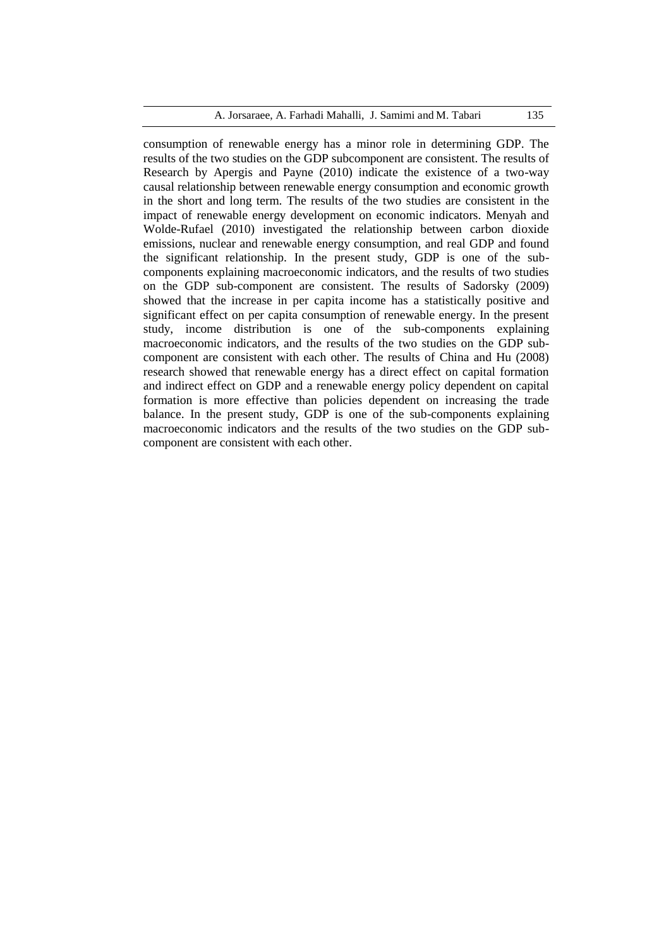# A. Jorsaraee, A. Farhadi Mahalli, J. Samimi and M. Tabari 135

consumption of renewable energy has a minor role in determining GDP. The results of the two studies on the GDP subcomponent are consistent. The results of Research by Apergis and Payne (2010) indicate the existence of a two-way causal relationship between renewable energy consumption and economic growth in the short and long term. The results of the two studies are consistent in the impact of renewable energy development on economic indicators. Menyah and Wolde-Rufael (2010) investigated the relationship between carbon dioxide emissions, nuclear and renewable energy consumption, and real GDP and found the significant relationship. In the present study, GDP is one of the subcomponents explaining macroeconomic indicators, and the results of two studies on the GDP sub-component are consistent. The results of Sadorsky (2009) showed that the increase in per capita income has a statistically positive and significant effect on per capita consumption of renewable energy. In the present study, income distribution is one of the sub-components explaining macroeconomic indicators, and the results of the two studies on the GDP subcomponent are consistent with each other. The results of China and Hu (2008) research showed that renewable energy has a direct effect on capital formation and indirect effect on GDP and a renewable energy policy dependent on capital formation is more effective than policies dependent on increasing the trade balance. In the present study, GDP is one of the sub-components explaining macroeconomic indicators and the results of the two studies on the GDP subcomponent are consistent with each other.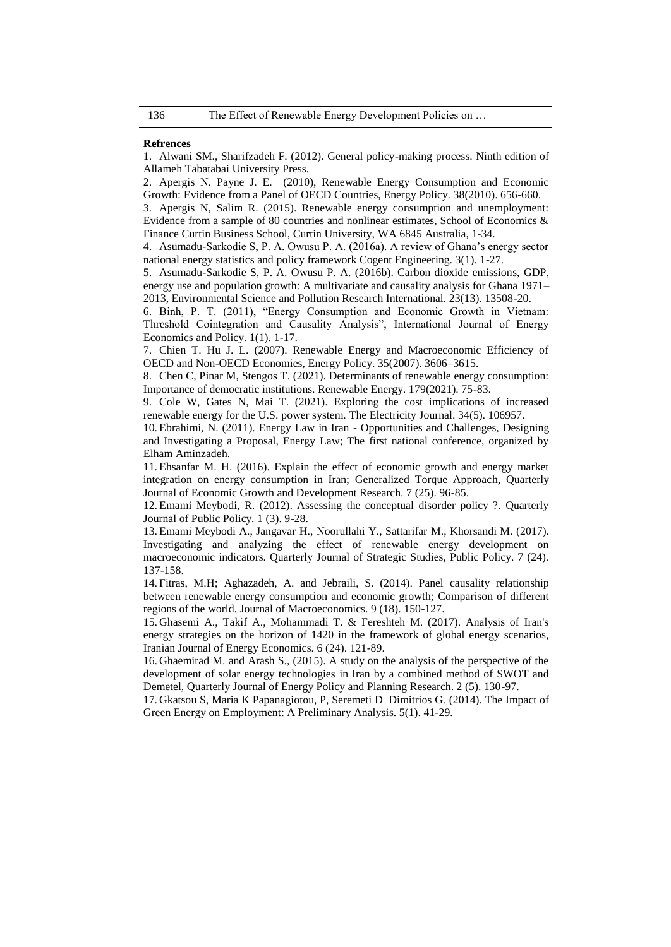#### **Refrences**

1. Alwani SM., Sharifzadeh F. (2012). General policy-making process. Ninth edition of Allameh Tabatabai University Press.

2. Apergis N. Payne J. E. (2010), Renewable Energy Consumption and Economic Growth: Evidence from a Panel of OECD Countries, Energy Policy. 38(2010). 656-660.

3. Apergis N, Salim R. (2015). Renewable energy consumption and unemployment: Evidence from a sample of 80 countries and nonlinear estimates, School of Economics & Finance Curtin Business School, Curtin University, WA 6845 Australia, 1-34.

4. Asumadu-Sarkodie S, P. A. Owusu P. A. (2016a). A review of Ghana's energy sector national energy statistics and policy framework Cogent Engineering. 3(1). 1-27.

5. Asumadu-Sarkodie S, P. A. Owusu P. A. (2016b). Carbon dioxide emissions, GDP, energy use and population growth: A multivariate and causality analysis for Ghana 1971– 2013, Environmental Science and Pollution Research International. 23(13). 13508-20.

6. Binh, P. T. (2011), "Energy Consumption and Economic Growth in Vietnam: Threshold Cointegration and Causality Analysis", International Journal of Energy Economics and Policy. 1(1). 1-17.

7. Chien T. Hu J. L. (2007). Renewable Energy and Macroeconomic Efficiency of OECD and Non-OECD Economies, Energy Policy. 35(2007). 3606–3615.

8. Chen C, Pinar M, Stengos T. (2021). Determinants of renewable energy consumption: Importance of democratic institutions. Renewable Energy. 179(2021). 75-83.

9. Cole W, Gates N, Mai T. (2021). Exploring the cost implications of increased renewable energy for the U.S. power system. [The Electricity Journal.](https://www.sciencedirect.com/science/journal/10406190) 34(5). 106957.

10. Ebrahimi, N. (2011). Energy Law in Iran - Opportunities and Challenges, Designing and Investigating a Proposal, Energy Law; The first national conference, organized by Elham Aminzadeh.

11. Ehsanfar M. H. (2016). Explain the effect of economic growth and energy market integration on energy consumption in Iran; Generalized Torque Approach, Quarterly Journal of Economic Growth and Development Research. 7 (25). 96-85.

12. Emami Meybodi, R. (2012). Assessing the conceptual disorder policy ?. Quarterly Journal of Public Policy. 1 (3). 9-28.

13. Emami Meybodi A., Jangavar H., Noorullahi Y., Sattarifar M., Khorsandi M. (2017). Investigating and analyzing the effect of renewable energy development on macroeconomic indicators. Quarterly Journal of Strategic Studies, Public Policy. 7 (24). 137-158.

14. Fitras, M.H; Aghazadeh, A. and Jebraili, S. (2014). Panel causality relationship between renewable energy consumption and economic growth; Comparison of different regions of the world. Journal of Macroeconomics. 9 (18). 150-127.

15. Ghasemi A., Takif A., Mohammadi T. & Fereshteh M. (2017). Analysis of Iran's energy strategies on the horizon of 1420 in the framework of global energy scenarios, Iranian Journal of Energy Economics. 6 (24). 121-89.

16. Ghaemirad M. and Arash S., (2015). A study on the analysis of the perspective of the development of solar energy technologies in Iran by a combined method of SWOT and Demetel, Quarterly Journal of Energy Policy and Planning Research. 2 (5). 130-97.

17. Gkatsou S, Maria K Papanagiotou, P, Seremeti D Dimitrios G. (2014). The Impact of Green Energy on Employment: A Preliminary Analysis. 5(1). 41-29.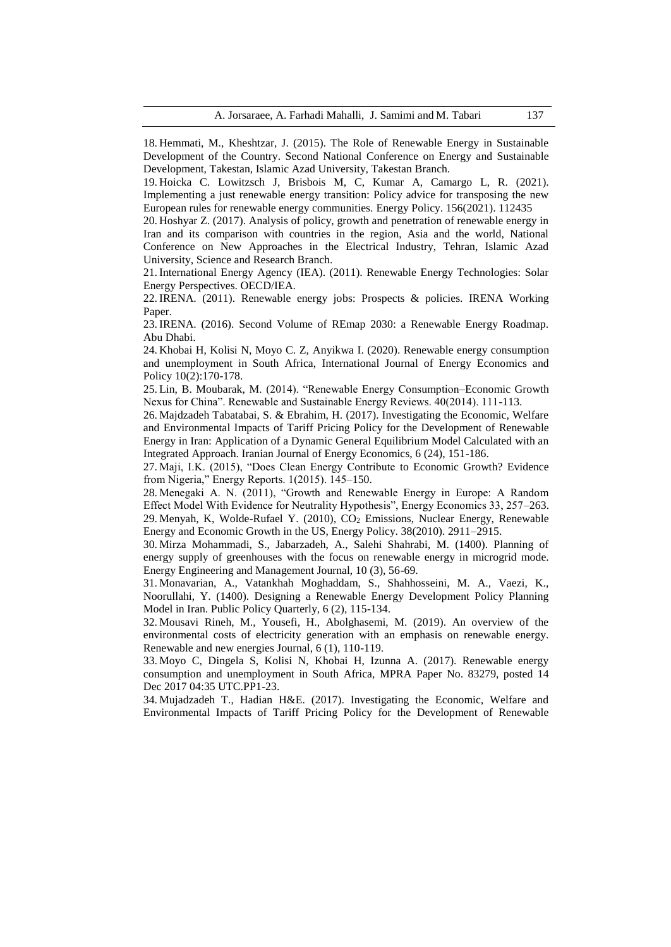18. Hemmati, M., Kheshtzar, J. (2015). The Role of Renewable Energy in Sustainable Development of the Country. Second National Conference on Energy and Sustainable Development, Takestan, Islamic Azad University, Takestan Branch.

19. Hoicka C. Lowitzsch J, Brisbois M, C, Kumar A, Camargo L, R. (2021). Implementing a just renewable energy transition: Policy advice for transposing the new European rules for renewable energy communities. [Energy Policy.](https://www.sciencedirect.com/science/journal/03014215) 156(2021). 112435

20. Hoshyar Z. (2017). Analysis of policy, growth and penetration of renewable energy in Iran and its comparison with countries in the region, Asia and the world, National Conference on New Approaches in the Electrical Industry, Tehran, Islamic Azad University, Science and Research Branch.

21. International Energy Agency (IEA). (2011). Renewable Energy Technologies: Solar Energy Perspectives. OECD/IEA.

22. IRENA. (2011). Renewable energy jobs: Prospects & policies. IRENA Working Paper.

23. IRENA. (2016). Second Volume of REmap 2030: a Renewable Energy Roadmap. Abu Dhabi.

24. Khobai H, Kolisi N, Moyo C. Z, [Anyikwa](https://www.researchgate.net/profile/Izunna-Anyikwa) I. (2020). Renewable energy consumption and unemployment in South Africa, [International Journal of Energy Economics and](https://www.researchgate.net/journal/International-Journal-of-Energy-Economics-and-Policy-2146-4553)  [Policy](https://www.researchgate.net/journal/International-Journal-of-Energy-Economics-and-Policy-2146-4553) 10(2):170-178.

25. Lin, B. Moubarak, M. (2014). "Renewable Energy Consumption–Economic Growth Nexus for China". Renewable and Sustainable Energy Reviews. 40(2014). 111-113.

26. Majdzadeh Tabatabai, S. & Ebrahim, H. (2017). Investigating the Economic, Welfare and Environmental Impacts of Tariff Pricing Policy for the Development of Renewable Energy in Iran: Application of a Dynamic General Equilibrium Model Calculated with an Integrated Approach. Iranian Journal of Energy Economics, 6 (24), 151-186.

27. Maji, I.K. (2015), "Does Clean Energy Contribute to Economic Growth? Evidence from Nigeria," Energy Reports. 1(2015). 145–150.

28. Menegaki A. N. (2011), "Growth and Renewable Energy in Europe: A Random Effect Model With Evidence for Neutrality Hypothesis", Energy Economics 33, 257–263. 29. Menyah, K, Wolde-Rufael Y. (2010), CO<sub>2</sub> Emissions, Nuclear Energy, Renewable Energy and Economic Growth in the US, Energy Policy. 38(2010). 2911–2915.

30. Mirza Mohammadi, S., Jabarzadeh, A., Salehi Shahrabi, M. (1400). Planning of energy supply of greenhouses with the focus on renewable energy in microgrid mode. Energy Engineering and Management Journal, 10 (3), 56-69.

31. Monavarian, A., Vatankhah Moghaddam, S., Shahhosseini, M. A., Vaezi, K., Noorullahi, Y. (1400). Designing a Renewable Energy Development Policy Planning Model in Iran. Public Policy Quarterly, 6 (2), 115-134.

32. Mousavi Rineh, M., Yousefi, H., Abolghasemi, M. (2019). An overview of the environmental costs of electricity generation with an emphasis on renewable energy. Renewable and new energies Journal, 6 (1), 110-119.

33. Moyo C, Dingela S, Kolisi N, Khobai H, Izunna A. (2017). Renewable energy consumption and unemployment in South Africa, MPRA Paper No. 83279, posted 14 Dec 2017 04:35 UTC.PP1-23.

34. Mujadzadeh T., Hadian H&E. (2017). Investigating the Economic, Welfare and Environmental Impacts of Tariff Pricing Policy for the Development of Renewable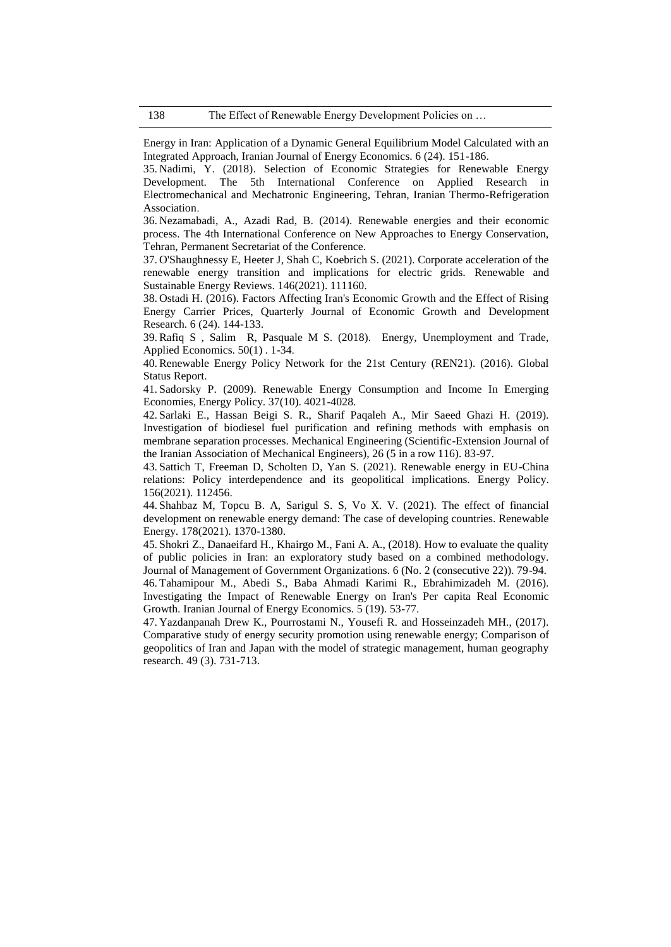Energy in Iran: Application of a Dynamic General Equilibrium Model Calculated with an Integrated Approach, Iranian Journal of Energy Economics. 6 (24). 151-186.

35. Nadimi, Y. (2018). Selection of Economic Strategies for Renewable Energy Development. The 5th International Conference on Applied Research in Electromechanical and Mechatronic Engineering, Tehran, Iranian Thermo-Refrigeration Association.

36. Nezamabadi, A., Azadi Rad, B. (2014). Renewable energies and their economic process. The 4th International Conference on New Approaches to Energy Conservation, Tehran, Permanent Secretariat of the Conference.

37. [O'Shaughnessy](https://www.sciencedirect.com/science/article/abs/pii/S1364032121004494#!) E, Heeter J, Shah C, Koebrich S. (2021). Corporate acceleration of the renewable energy transition and implications for electric grids. [Renewable and](https://www.sciencedirect.com/science/journal/13640321)  [Sustainable Energy Reviews.](https://www.sciencedirect.com/science/journal/13640321) 146(2021). 111160.

38. Ostadi H. (2016). Factors Affecting Iran's Economic Growth and the Effect of Rising Energy Carrier Prices, Quarterly Journal of Economic Growth and Development Research. 6 (24). 144-133.

39. Rafiq S , Salim R, Pasquale M S. (2018). Energy, Unemployment and Trade, Applied Economics. 50(1) . 1-34.

40. Renewable Energy Policy Network for the 21st Century (REN21). (2016). Global Status Report.

41. Sadorsky P. (2009). Renewable Energy Consumption and Income In Emerging Economies, Energy Policy. 37(10). 4021-4028.

42. Sarlaki E., Hassan Beigi S. R., Sharif Paqaleh A., Mir Saeed Ghazi H. (2019). Investigation of biodiesel fuel purification and refining methods with emphasis on membrane separation processes. Mechanical Engineering (Scientific-Extension Journal of the Iranian Association of Mechanical Engineers), 26 (5 in a row 116). 83-97.

43. Sattich T, Freeman D, Scholten D, Yan S. (2021). Renewable energy in EU-China relations: Policy interdependence and its geopolitical implications. [Energy Policy.](https://www.sciencedirect.com/science/journal/03014215) 156(2021). 112456.

44. Shahbaz M, Topcu B. A, Sarigul S. S, Vo X. V. (2021). The effect of financial development on renewable energy demand: The case of developing countries. Renewable Energy. 178(2021). 1370-1380.

45. Shokri Z., Danaeifard H., Khairgo M., Fani A. A., (2018). How to evaluate the quality of public policies in Iran: an exploratory study based on a combined methodology. Journal of Management of Government Organizations. 6 (No. 2 (consecutive 22)). 79-94. 46. Tahamipour M., Abedi S., Baba Ahmadi Karimi R., Ebrahimizadeh M. (2016). Investigating the Impact of Renewable Energy on Iran's Per capita Real Economic Growth. Iranian Journal of Energy Economics. 5 (19). 53-77.

47. Yazdanpanah Drew K., Pourrostami N., Yousefi R. and Hosseinzadeh MH., (2017). Comparative study of energy security promotion using renewable energy; Comparison of geopolitics of Iran and Japan with the model of strategic management, human geography research. 49 (3). 731-713.